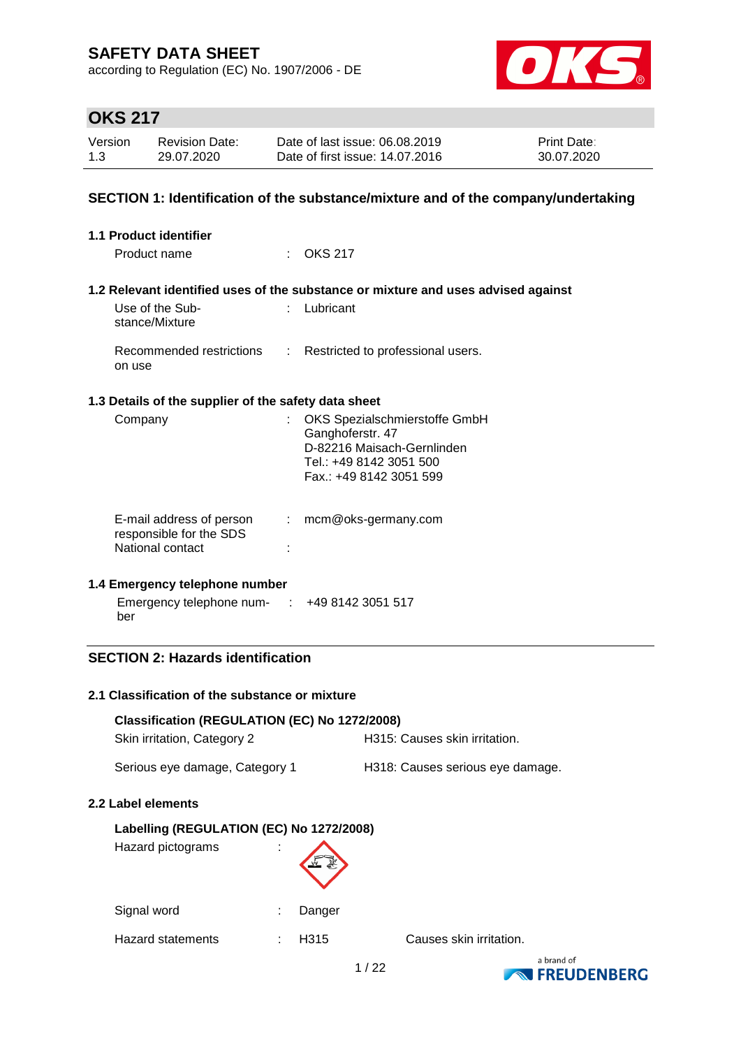according to Regulation (EC) No. 1907/2006 - DE



# **OKS 217**

| Version | <b>Revision Date:</b> | Date of last issue: 06.08.2019  | <b>Print Date:</b> |
|---------|-----------------------|---------------------------------|--------------------|
| 1.3     | 29.07.2020            | Date of first issue: 14.07.2016 | 30.07.2020         |

### **SECTION 1: Identification of the substance/mixture and of the company/undertaking**

| <b>1.1 Product identifier</b>                                           |                            |                                                                                                                                       |
|-------------------------------------------------------------------------|----------------------------|---------------------------------------------------------------------------------------------------------------------------------------|
| Product name                                                            |                            | $\therefore$ OKS 217                                                                                                                  |
|                                                                         |                            | 1.2 Relevant identified uses of the substance or mixture and uses advised against                                                     |
| Use of the Sub-<br>stance/Mixture                                       |                            | Lubricant                                                                                                                             |
| Recommended restrictions<br>on use                                      | $\mathcal{L}^{\text{max}}$ | Restricted to professional users.                                                                                                     |
| 1.3 Details of the supplier of the safety data sheet                    |                            |                                                                                                                                       |
| Company                                                                 |                            | OKS Spezialschmierstoffe GmbH<br>Ganghoferstr. 47<br>D-82216 Maisach-Gernlinden<br>Tel.: +49 8142 3051 500<br>Fax.: +49 8142 3051 599 |
| E-mail address of person<br>responsible for the SDS<br>National contact |                            | $:$ mcm@oks-germany.com                                                                                                               |
| 1.4 Emergency telephone number                                          |                            |                                                                                                                                       |
| Emergency telephone num- $\cdot$ +49 8142 3051 517<br>ber               |                            |                                                                                                                                       |

### **SECTION 2: Hazards identification**

#### **2.1 Classification of the substance or mixture**

| Classification (REGULATION (EC) No 1272/2008) |                                  |
|-----------------------------------------------|----------------------------------|
| Skin irritation, Category 2                   | H315: Causes skin irritation.    |
| Serious eye damage, Category 1                | H318: Causes serious eye damage. |
| Label elements                                |                                  |
| Labelling (REGULATION (EC) No 1272/2008)      |                                  |
| Hazard pictograms                             |                                  |
| Signal word                                   | Danger                           |

Hazard statements : H315 Causes skin irritation.

**2.2 Label elements**

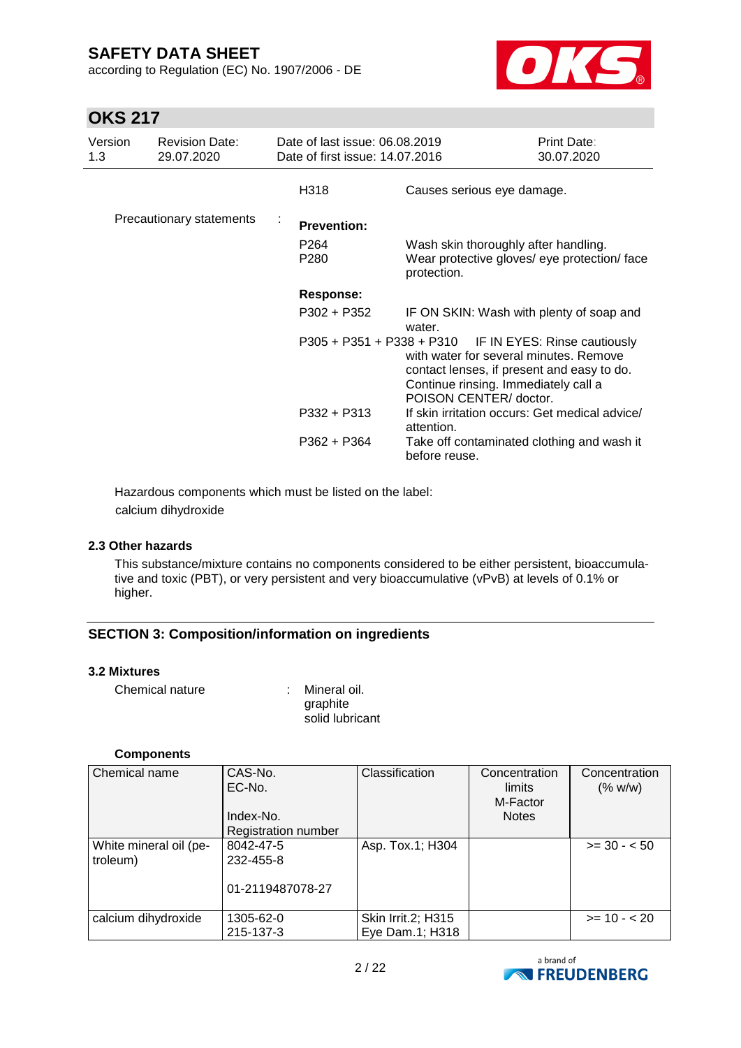according to Regulation (EC) No. 1907/2006 - DE



## **OKS 217**

| Version<br>1.3 | <b>Revision Date:</b><br>29.07.2020 | Date of last issue: 06.08.2019<br>Date of first issue: 14.07.2016 |                                                                                                                                                                                                                  | Print Date:<br>30.07.2020 |
|----------------|-------------------------------------|-------------------------------------------------------------------|------------------------------------------------------------------------------------------------------------------------------------------------------------------------------------------------------------------|---------------------------|
|                |                                     | H318                                                              | Causes serious eye damage.                                                                                                                                                                                       |                           |
|                | Precautionary statements            | <b>Prevention:</b>                                                |                                                                                                                                                                                                                  |                           |
|                |                                     | P <sub>264</sub><br>P280                                          | Wash skin thoroughly after handling.<br>Wear protective gloves/ eye protection/ face<br>protection.                                                                                                              |                           |
|                |                                     | <b>Response:</b>                                                  |                                                                                                                                                                                                                  |                           |
|                |                                     | P302 + P352                                                       | IF ON SKIN: Wash with plenty of soap and<br>water.                                                                                                                                                               |                           |
|                |                                     |                                                                   | P305 + P351 + P338 + P310 IF IN EYES: Rinse cautiously<br>with water for several minutes. Remove<br>contact lenses, if present and easy to do.<br>Continue rinsing. Immediately call a<br>POISON CENTER/ doctor. |                           |
|                |                                     | P332 + P313                                                       | If skin irritation occurs: Get medical advice/<br>attention.                                                                                                                                                     |                           |
|                |                                     | P362 + P364                                                       | Take off contaminated clothing and wash it<br>before reuse.                                                                                                                                                      |                           |

Hazardous components which must be listed on the label: calcium dihydroxide

#### **2.3 Other hazards**

This substance/mixture contains no components considered to be either persistent, bioaccumulative and toxic (PBT), or very persistent and very bioaccumulative (vPvB) at levels of 0.1% or higher.

### **SECTION 3: Composition/information on ingredients**

#### **3.2 Mixtures**

| Chemical nature | : Mineral oil.  |
|-----------------|-----------------|
|                 | graphite        |
|                 | solid lubricant |

#### **Components**

| Chemical name          | CAS-No.<br>EC-No.<br>Index-No. | Classification     | Concentration<br>limits<br>M-Factor<br><b>Notes</b> | Concentration<br>(% w/w) |
|------------------------|--------------------------------|--------------------|-----------------------------------------------------|--------------------------|
|                        | Registration number            |                    |                                                     |                          |
| White mineral oil (pe- | 8042-47-5                      | Asp. Tox.1; H304   |                                                     | $>= 30 - 50$             |
| troleum)               | 232-455-8                      |                    |                                                     |                          |
|                        | 01-2119487078-27               |                    |                                                     |                          |
| calcium dihydroxide    | 1305-62-0                      | Skin Irrit.2; H315 |                                                     | $>= 10 - 20$             |
|                        | 215-137-3                      | Eye Dam.1; H318    |                                                     |                          |

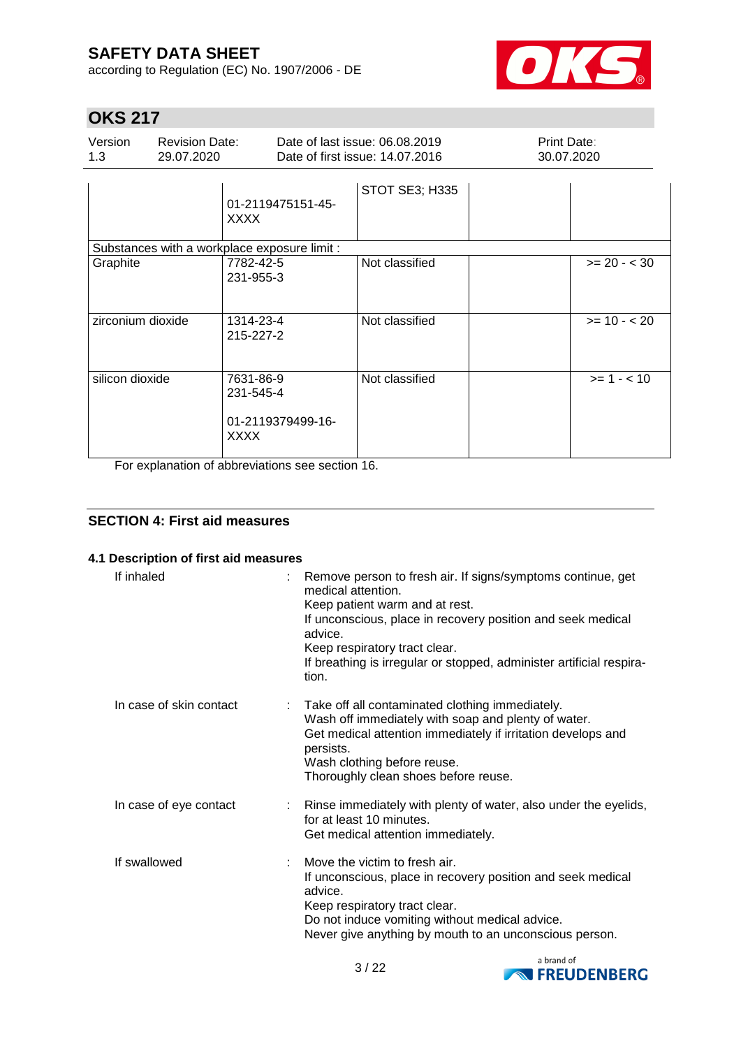according to Regulation (EC) No. 1907/2006 - DE



# **OKS 217**

| Version | <b>Revision Date:</b> | Date of last issue: 06.08.2019  | <b>Print Date:</b> |
|---------|-----------------------|---------------------------------|--------------------|
| 13      | 29.07.2020            | Date of first issue: 14.07.2016 | 30.07.2020         |
|         |                       | STOT SE3; H335                  |                    |

|                                                                                         | 01-2119475151-45-<br><b>XXXX</b>                           |                |                |
|-----------------------------------------------------------------------------------------|------------------------------------------------------------|----------------|----------------|
|                                                                                         | Substances with a workplace exposure limit :               |                |                |
| Graphite                                                                                | 7782-42-5<br>231-955-3                                     | Not classified | $>= 20 - < 30$ |
| zirconium dioxide                                                                       | 1314-23-4<br>215-227-2                                     | Not classified | $>= 10 - 20$   |
| silicon dioxide<br><b>State State State State</b><br>$\bullet$ and the set of $\bullet$ | 7631-86-9<br>231-545-4<br>01-2119379499-16-<br><b>XXXX</b> | Not classified | $>= 1 - < 10$  |

For explanation of abbreviations see section 16.

### **SECTION 4: First aid measures**

#### **4.1 Description of first aid measures**

| If inhaled              | Remove person to fresh air. If signs/symptoms continue, get<br>medical attention.<br>Keep patient warm and at rest.<br>If unconscious, place in recovery position and seek medical<br>advice.<br>Keep respiratory tract clear.<br>If breathing is irregular or stopped, administer artificial respira-<br>tion. |
|-------------------------|-----------------------------------------------------------------------------------------------------------------------------------------------------------------------------------------------------------------------------------------------------------------------------------------------------------------|
| In case of skin contact | Take off all contaminated clothing immediately.<br>Wash off immediately with soap and plenty of water.<br>Get medical attention immediately if irritation develops and<br>persists.<br>Wash clothing before reuse.<br>Thoroughly clean shoes before reuse.                                                      |
| In case of eye contact  | : Rinse immediately with plenty of water, also under the eyelids,<br>for at least 10 minutes.<br>Get medical attention immediately.                                                                                                                                                                             |
| If swallowed            | Move the victim to fresh air.<br>If unconscious, place in recovery position and seek medical<br>advice.<br>Keep respiratory tract clear.<br>Do not induce vomiting without medical advice.<br>Never give anything by mouth to an unconscious person.                                                            |

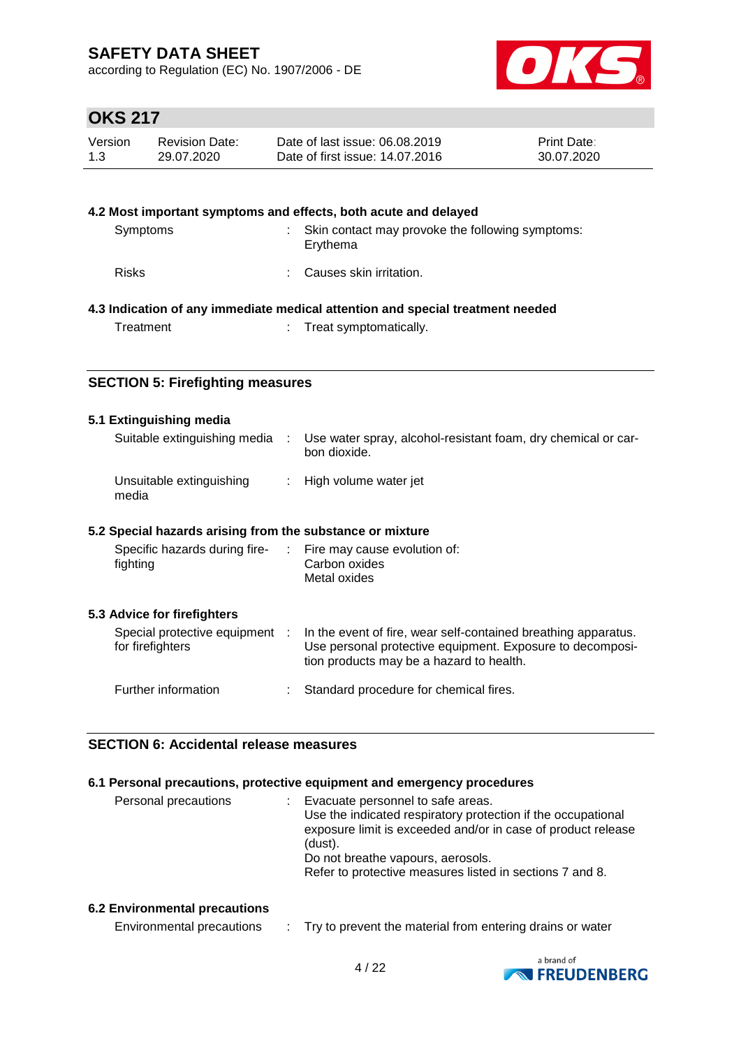according to Regulation (EC) No. 1907/2006 - DE



# **OKS 217**

| Version | <b>Revision Date:</b> | Date of last issue: 06.08.2019  | <b>Print Date:</b> |
|---------|-----------------------|---------------------------------|--------------------|
| 1.3     | 29.07.2020            | Date of first issue: 14.07.2016 | 30.07.2020         |

|              | 4.2 Most important symptoms and effects, both acute and delayed                |
|--------------|--------------------------------------------------------------------------------|
| Symptoms     | Skin contact may provoke the following symptoms:<br>Erythema                   |
| <b>Risks</b> | Causes skin irritation.                                                        |
|              | 4.3 Indication of any immediate medical attention and special treatment needed |
| Treatment    | : Treat symptomatically.                                                       |

### **SECTION 5: Firefighting measures**

#### **5.1 Extinguishing media**

| Suitable extinguishing media      | Use water spray, alcohol-resistant foam, dry chemical or car-<br>bon dioxide. |
|-----------------------------------|-------------------------------------------------------------------------------|
| Unsuitable extinguishing<br>media | : High volume water jet                                                       |

#### **5.2 Special hazards arising from the substance or mixture**

| Specific hazards during fire-<br>fighting          | ÷. | Fire may cause evolution of:<br>Carbon oxides<br>Metal oxides                                                                                                           |
|----------------------------------------------------|----|-------------------------------------------------------------------------------------------------------------------------------------------------------------------------|
| 5.3 Advice for firefighters                        |    |                                                                                                                                                                         |
| Special protective equipment :<br>for firefighters |    | In the event of fire, wear self-contained breathing apparatus.<br>Use personal protective equipment. Exposure to decomposi-<br>tion products may be a hazard to health. |
| Further information                                |    | Standard procedure for chemical fires.                                                                                                                                  |

#### **SECTION 6: Accidental release measures**

#### **6.1 Personal precautions, protective equipment and emergency procedures**

| Personal precautions | Evacuate personnel to safe areas.                            |
|----------------------|--------------------------------------------------------------|
|                      | Use the indicated respiratory protection if the occupational |
|                      | exposure limit is exceeded and/or in case of product release |
|                      | (dust).                                                      |
|                      | Do not breathe vapours, aerosols.                            |
|                      | Refer to protective measures listed in sections 7 and 8.     |
|                      |                                                              |

#### **6.2 Environmental precautions**

| Environmental precautions |  | Try to prevent the material from entering drains or water |
|---------------------------|--|-----------------------------------------------------------|
|---------------------------|--|-----------------------------------------------------------|

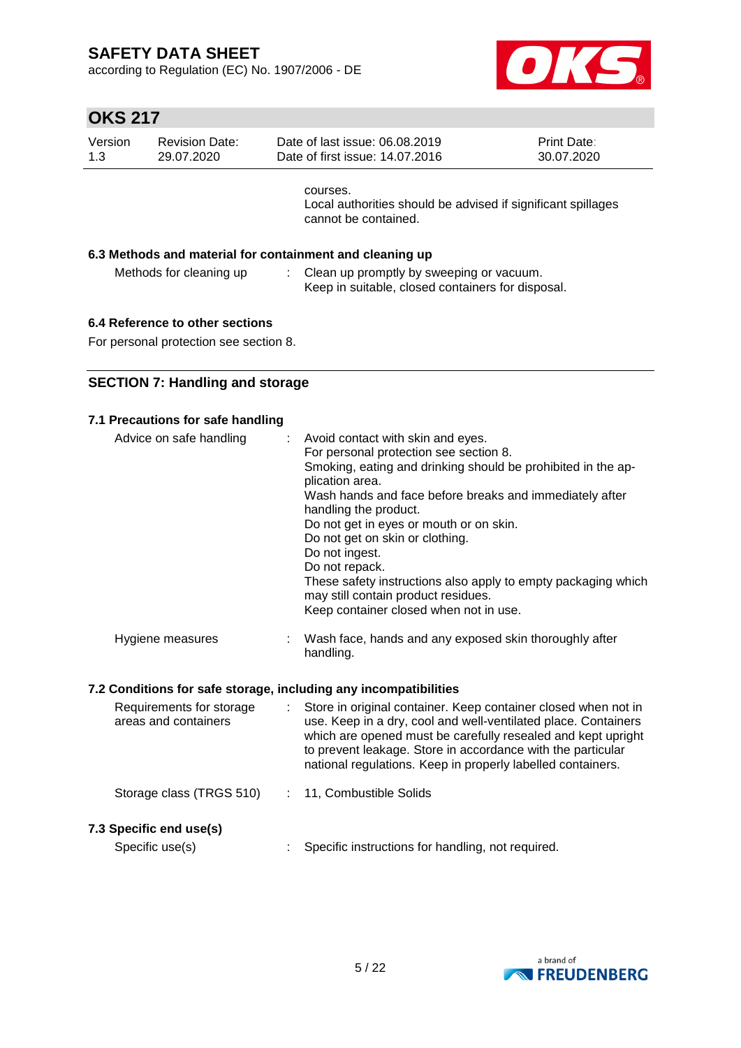according to Regulation (EC) No. 1907/2006 - DE



# **OKS 217**

| Version<br>1.3 | <b>Revision Date:</b><br>29.07.2020 | Date of last issue: 06.08.2019<br>Date of first issue: 14.07.2016                                | <b>Print Date:</b><br>30.07.2020 |
|----------------|-------------------------------------|--------------------------------------------------------------------------------------------------|----------------------------------|
|                |                                     | courses.<br>Local authorities should be advised if significant spillages<br>cannot be contained. |                                  |
|                |                                     | 6.3 Methods and material for containment and cleaning up                                         |                                  |
|                | Methods for cleaning up             | Clean up promptly by sweeping or vacuum.<br>Keep in suitable, closed containers for disposal.    |                                  |
|                |                                     |                                                                                                  |                                  |

### **6.4 Reference to other sections**

For personal protection see section 8.

### **SECTION 7: Handling and storage**

| 7.1 Precautions for safe handling                                |                                                                                                                                                                                                                                                                                                                                                                                                                                                                                                                        |
|------------------------------------------------------------------|------------------------------------------------------------------------------------------------------------------------------------------------------------------------------------------------------------------------------------------------------------------------------------------------------------------------------------------------------------------------------------------------------------------------------------------------------------------------------------------------------------------------|
| Advice on safe handling<br>÷                                     | Avoid contact with skin and eyes.<br>For personal protection see section 8.<br>Smoking, eating and drinking should be prohibited in the ap-<br>plication area.<br>Wash hands and face before breaks and immediately after<br>handling the product.<br>Do not get in eyes or mouth or on skin.<br>Do not get on skin or clothing.<br>Do not ingest.<br>Do not repack.<br>These safety instructions also apply to empty packaging which<br>may still contain product residues.<br>Keep container closed when not in use. |
| Hygiene measures                                                 | Wash face, hands and any exposed skin thoroughly after<br>handling.                                                                                                                                                                                                                                                                                                                                                                                                                                                    |
| 7.2 Conditions for safe storage, including any incompatibilities |                                                                                                                                                                                                                                                                                                                                                                                                                                                                                                                        |
| Requirements for storage<br>÷.<br>areas and containers           | Store in original container. Keep container closed when not in<br>use. Keep in a dry, cool and well-ventilated place. Containers<br>which are opened must be carefully resealed and kept upright<br>to prevent leakage. Store in accordance with the particular<br>national regulations. Keep in properly labelled containers.                                                                                                                                                                                         |
| Storage class (TRGS 510)<br>÷.                                   | 11, Combustible Solids                                                                                                                                                                                                                                                                                                                                                                                                                                                                                                 |
| 7.3 Specific end use(s)                                          |                                                                                                                                                                                                                                                                                                                                                                                                                                                                                                                        |
| Specific use(s)                                                  | Specific instructions for handling, not required.                                                                                                                                                                                                                                                                                                                                                                                                                                                                      |

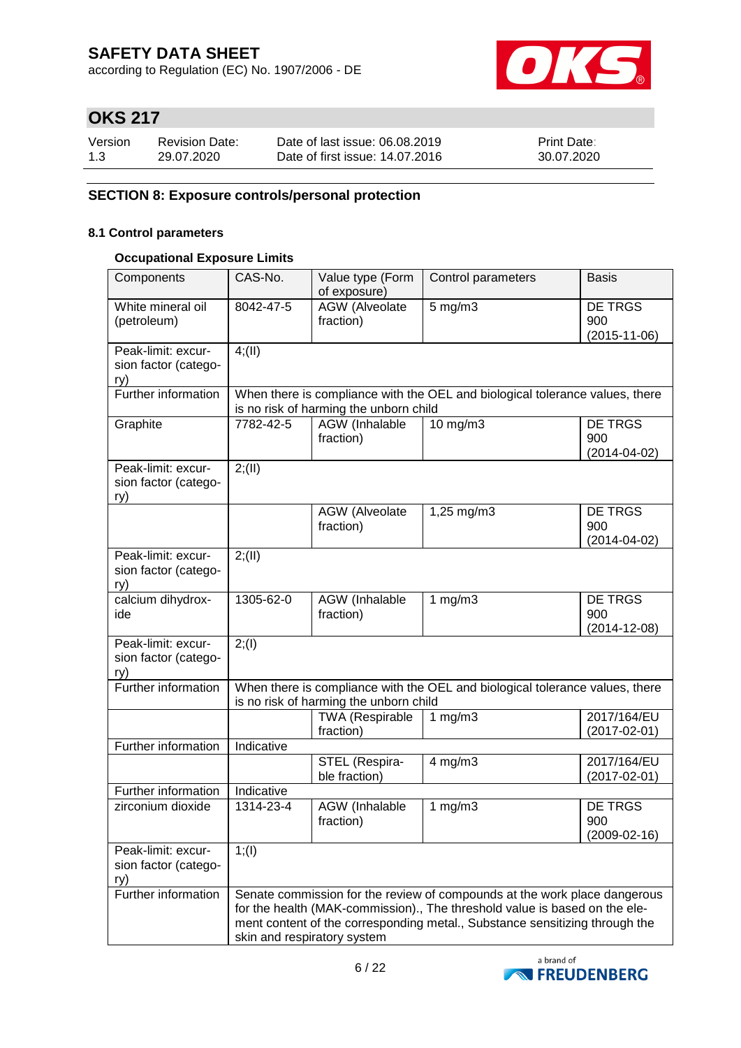according to Regulation (EC) No. 1907/2006 - DE



# **OKS 217**

| Version | <b>Revision Date:</b> | Date of last issue: 06.08.2019  | <b>Print Date:</b> |
|---------|-----------------------|---------------------------------|--------------------|
| 1.3     | 29.07.2020            | Date of first issue: 14.07.2016 | 30.07.2020         |

### **SECTION 8: Exposure controls/personal protection**

#### **8.1 Control parameters**

#### **Occupational Exposure Limits**

| Components                                        | CAS-No.    | Value type (Form<br>of exposure)       | Control parameters                                                                                                                                                                                                                     | <b>Basis</b>                         |
|---------------------------------------------------|------------|----------------------------------------|----------------------------------------------------------------------------------------------------------------------------------------------------------------------------------------------------------------------------------------|--------------------------------------|
| White mineral oil<br>(petroleum)                  | 8042-47-5  | <b>AGW</b> (Alveolate<br>fraction)     | $5$ mg/m $3$                                                                                                                                                                                                                           | DE TRGS<br>900<br>$(2015 - 11 - 06)$ |
| Peak-limit: excur-<br>sion factor (catego-<br>ry) | 4(11)      |                                        |                                                                                                                                                                                                                                        |                                      |
| Further information                               |            | is no risk of harming the unborn child | When there is compliance with the OEL and biological tolerance values, there                                                                                                                                                           |                                      |
| Graphite                                          | 7782-42-5  | <b>AGW</b> (Inhalable<br>fraction)     | $10$ mg/m $3$                                                                                                                                                                                                                          | DE TRGS<br>900<br>$(2014 - 04 - 02)$ |
| Peak-limit: excur-<br>sion factor (catego-<br>ry) | 2; (II)    |                                        |                                                                                                                                                                                                                                        |                                      |
|                                                   |            | <b>AGW</b> (Alveolate<br>fraction)     | 1,25 mg/m3                                                                                                                                                                                                                             | DE TRGS<br>900<br>$(2014 - 04 - 02)$ |
| Peak-limit: excur-<br>sion factor (catego-<br>ry) | 2; (II)    |                                        |                                                                                                                                                                                                                                        |                                      |
| calcium dihydrox-<br>ide                          | 1305-62-0  | AGW (Inhalable<br>fraction)            | 1 $mg/m3$                                                                                                                                                                                                                              | DE TRGS<br>900<br>$(2014 - 12 - 08)$ |
| Peak-limit: excur-<br>sion factor (catego-<br>ry) | 2; (1)     |                                        |                                                                                                                                                                                                                                        |                                      |
| Further information                               |            | is no risk of harming the unborn child | When there is compliance with the OEL and biological tolerance values, there                                                                                                                                                           |                                      |
|                                                   |            | <b>TWA (Respirable</b><br>fraction)    | 1 $mg/m3$                                                                                                                                                                                                                              | 2017/164/EU<br>$(2017 - 02 - 01)$    |
| Further information                               | Indicative |                                        |                                                                                                                                                                                                                                        |                                      |
|                                                   |            | STEL (Respira-<br>ble fraction)        | $4$ mg/m $3$                                                                                                                                                                                                                           | 2017/164/EU<br>$(2017 - 02 - 01)$    |
| Further information                               | Indicative |                                        |                                                                                                                                                                                                                                        |                                      |
| zirconium dioxide                                 | 1314-23-4  | AGW (Inhalable<br>fraction)            | 1 $mg/m3$                                                                                                                                                                                                                              | DE TRGS<br>900<br>(2009-02-16)       |
| Peak-limit: excur-<br>sion factor (catego-<br>ry) | 1; (1)     |                                        |                                                                                                                                                                                                                                        |                                      |
| Further information                               |            | skin and respiratory system            | Senate commission for the review of compounds at the work place dangerous<br>for the health (MAK-commission)., The threshold value is based on the ele-<br>ment content of the corresponding metal., Substance sensitizing through the |                                      |

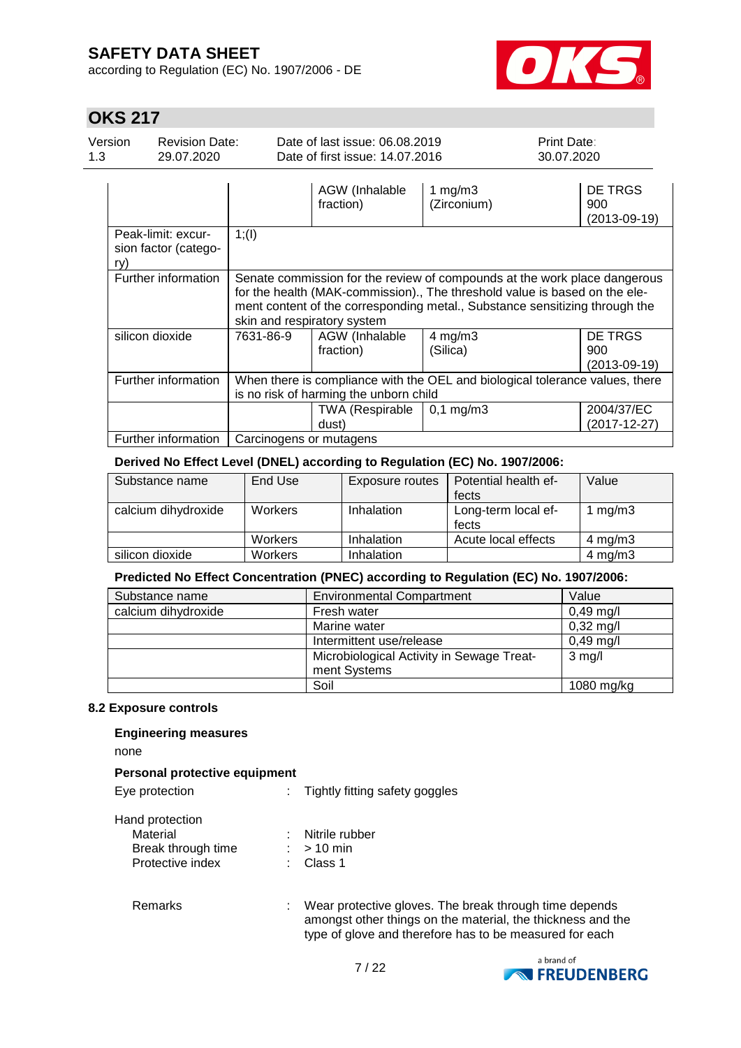according to Regulation (EC) No. 1907/2006 - DE



# **OKS 217**

| Version | Revision Date: | Date of last issue: 06.08.2019  | <b>Print Date:</b> |
|---------|----------------|---------------------------------|--------------------|
| 1.3     | 29.07.2020     | Date of first issue: 14.07.2016 | 30.07.2020         |

|                                                   |                                                                                                                        | AGW (Inhalable<br>fraction)     | 1 mg/m $3$<br>(Zirconium)                                                                                                                                                                                                              | DE TRGS<br>900<br>$(2013 - 09 - 19)$ |
|---------------------------------------------------|------------------------------------------------------------------------------------------------------------------------|---------------------------------|----------------------------------------------------------------------------------------------------------------------------------------------------------------------------------------------------------------------------------------|--------------------------------------|
| Peak-limit: excur-<br>sion factor (catego-<br>ry) | 1; (1)                                                                                                                 |                                 |                                                                                                                                                                                                                                        |                                      |
| Further information                               |                                                                                                                        | skin and respiratory system     | Senate commission for the review of compounds at the work place dangerous<br>for the health (MAK-commission)., The threshold value is based on the ele-<br>ment content of the corresponding metal., Substance sensitizing through the |                                      |
| silicon dioxide                                   | 7631-86-9                                                                                                              | AGW (Inhalable<br>fraction)     | $4$ mg/m $3$<br>(Silica)                                                                                                                                                                                                               | DE TRGS<br>900<br>$(2013 - 09 - 19)$ |
| Further information                               | When there is compliance with the OEL and biological tolerance values, there<br>is no risk of harming the unborn child |                                 |                                                                                                                                                                                                                                        |                                      |
|                                                   |                                                                                                                        | <b>TWA (Respirable</b><br>dust) | $0,1 \, \text{mg/m}$ 3                                                                                                                                                                                                                 | 2004/37/EC<br>$(2017 - 12 - 27)$     |
| Further information                               | Carcinogens or mutagens                                                                                                |                                 |                                                                                                                                                                                                                                        |                                      |

#### **Derived No Effect Level (DNEL) according to Regulation (EC) No. 1907/2006:**

| Substance name      | End Use        | Exposure routes | Potential health ef- | Value        |
|---------------------|----------------|-----------------|----------------------|--------------|
|                     |                |                 | fects                |              |
| calcium dihydroxide | <b>Workers</b> | Inhalation      | Long-term local ef-  | 1 mg/m $3$   |
|                     |                |                 | fects                |              |
|                     | <b>Workers</b> | Inhalation      | Acute local effects  | $4$ mg/m $3$ |
| silicon dioxide     | <b>Workers</b> | Inhalation      |                      | $4$ mg/m $3$ |

### **Predicted No Effect Concentration (PNEC) according to Regulation (EC) No. 1907/2006:**

| Substance name      | <b>Environmental Compartment</b>          | Value               |
|---------------------|-------------------------------------------|---------------------|
| calcium dihydroxide | Fresh water                               | $0,49$ mg/l         |
|                     | Marine water                              | $0,32 \text{ mg/l}$ |
|                     | Intermittent use/release                  | $0,49$ mg/l         |
|                     | Microbiological Activity in Sewage Treat- | $3$ mg/l            |
|                     | ment Systems                              |                     |
|                     | Soil                                      | $1080$ mg/kg        |

### **8.2 Exposure controls**

### **Engineering measures**

none

### **Personal protective equipment**

| Eye protection                                                        | Tightly fitting safety goggles                                                                                                                                                   |
|-----------------------------------------------------------------------|----------------------------------------------------------------------------------------------------------------------------------------------------------------------------------|
| Hand protection<br>Material<br>Break through time<br>Protective index | Nitrile rubber<br>$>10$ min<br>Class 1                                                                                                                                           |
| Remarks                                                               | Wear protective gloves. The break through time depends<br>amongst other things on the material, the thickness and the<br>type of glove and therefore has to be measured for each |

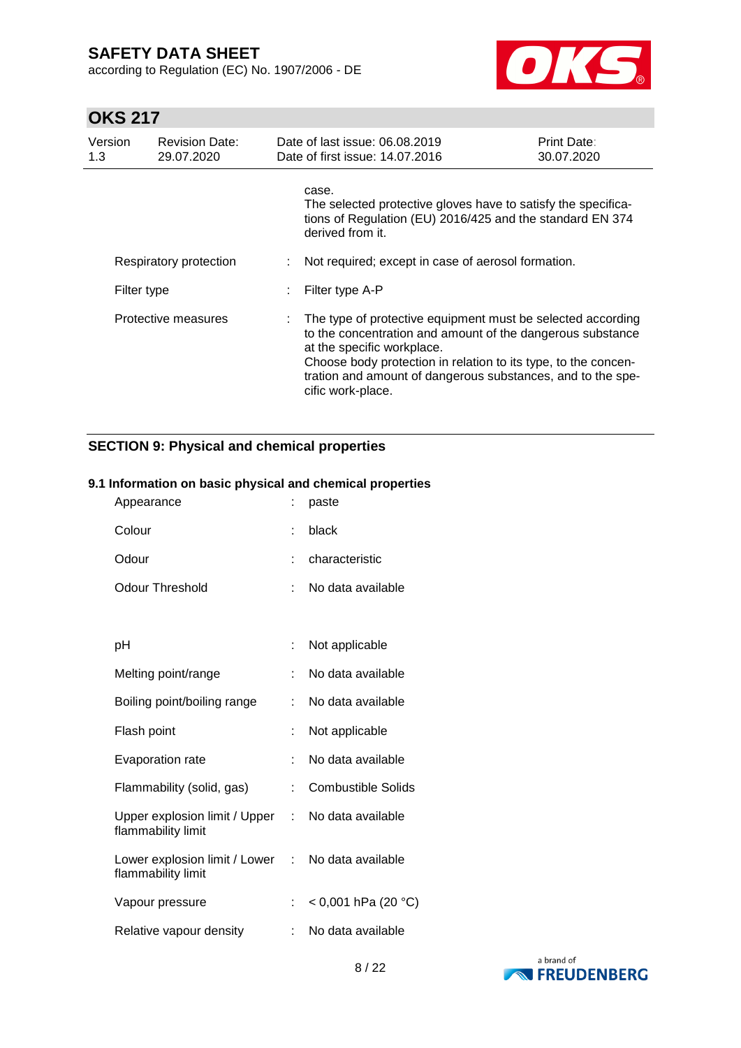according to Regulation (EC) No. 1907/2006 - DE



# **OKS 217**

| Version<br>1.3 | <b>Revision Date:</b><br>29.07.2020 | Date of last issue: 06.08.2019<br>Date of first issue: 14.07.2016                                                                                                                                                                                                                                             | <b>Print Date:</b><br>30.07.2020 |
|----------------|-------------------------------------|---------------------------------------------------------------------------------------------------------------------------------------------------------------------------------------------------------------------------------------------------------------------------------------------------------------|----------------------------------|
|                |                                     | case.<br>The selected protective gloves have to satisfy the specifica-<br>tions of Regulation (EU) 2016/425 and the standard EN 374<br>derived from it.                                                                                                                                                       |                                  |
|                | Respiratory protection              | Not required; except in case of aerosol formation.                                                                                                                                                                                                                                                            |                                  |
| Filter type    |                                     | Filter type A-P                                                                                                                                                                                                                                                                                               |                                  |
|                | Protective measures                 | The type of protective equipment must be selected according<br>to the concentration and amount of the dangerous substance<br>at the specific workplace.<br>Choose body protection in relation to its type, to the concen-<br>tration and amount of dangerous substances, and to the spe-<br>cific work-place. |                                  |

### **SECTION 9: Physical and chemical properties**

#### **9.1 Information on basic physical and chemical properties**

| Appearance                                            |    | paste                     |
|-------------------------------------------------------|----|---------------------------|
| Colour                                                | ۰  | black                     |
| Odour                                                 | ÷  | characteristic            |
| Odour Threshold                                       | t  | No data available         |
|                                                       |    |                           |
| рH                                                    | ÷  | Not applicable            |
| Melting point/range                                   | ÷  | No data available         |
| Boiling point/boiling range                           | ÷  | No data available         |
| Flash point                                           |    | Not applicable            |
| <b>Evaporation rate</b>                               |    | No data available         |
| Flammability (solid, gas)                             | t  | <b>Combustible Solids</b> |
| Upper explosion limit / Upper<br>flammability limit   | t. | No data available         |
| Lower explosion limit / Lower :<br>flammability limit |    | No data available         |
| Vapour pressure                                       |    | < 0,001 hPa (20 °C)       |
| Relative vapour density                               |    | No data available         |

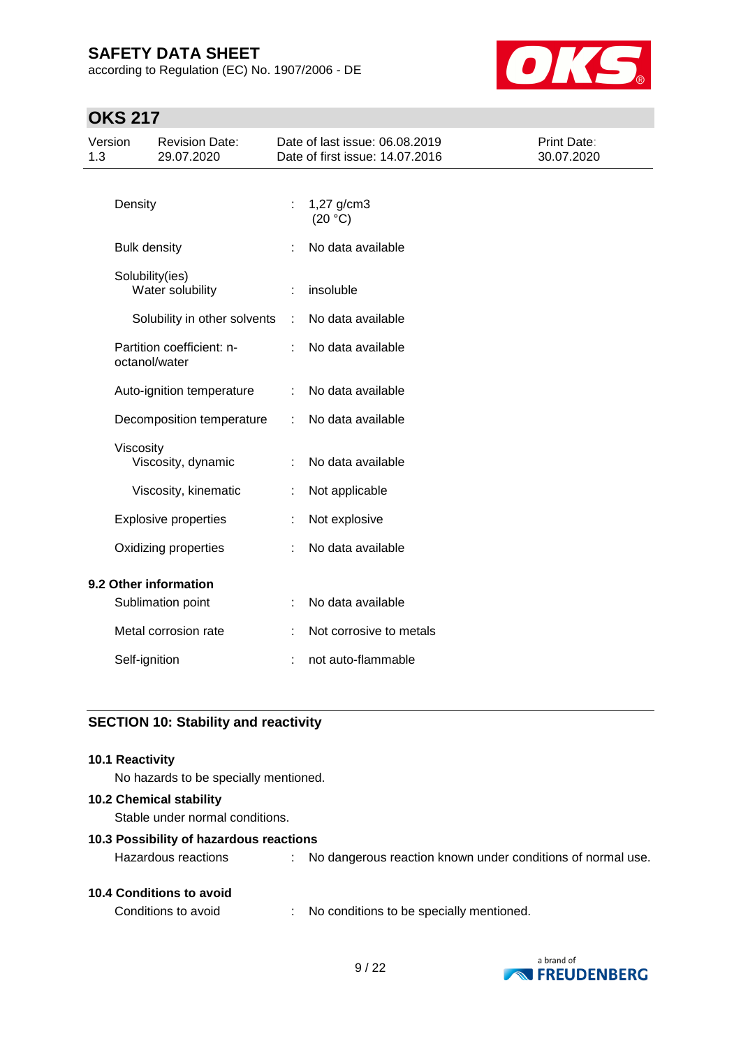according to Regulation (EC) No. 1907/2006 - DE



## **OKS 217**

| Version<br>1.3 |                     | <b>Revision Date:</b><br>29.07.2020 |   | Date of last issue: 06.08.2019<br>Date of first issue: 14.07.2016 | Print Date:<br>30.07.2020 |
|----------------|---------------------|-------------------------------------|---|-------------------------------------------------------------------|---------------------------|
|                | Density             |                                     |   | 1,27 g/cm3<br>(20 °C)                                             |                           |
|                | <b>Bulk density</b> |                                     |   | No data available                                                 |                           |
|                | Solubility(ies)     | Water solubility                    |   | insoluble                                                         |                           |
|                |                     | Solubility in other solvents        | ÷ | No data available                                                 |                           |
|                | octanol/water       | Partition coefficient: n-           |   | No data available                                                 |                           |
|                |                     | Auto-ignition temperature           | ÷ | No data available                                                 |                           |
|                |                     | Decomposition temperature           | ÷ | No data available                                                 |                           |
|                | Viscosity           | Viscosity, dynamic                  |   | No data available                                                 |                           |
|                |                     | Viscosity, kinematic                |   | Not applicable                                                    |                           |
|                |                     | <b>Explosive properties</b>         |   | Not explosive                                                     |                           |
|                |                     | Oxidizing properties                |   | No data available                                                 |                           |
|                |                     | 9.2 Other information               |   |                                                                   |                           |
|                |                     | Sublimation point                   |   | No data available                                                 |                           |
|                |                     | Metal corrosion rate                |   | Not corrosive to metals                                           |                           |
|                | Self-ignition       |                                     |   | not auto-flammable                                                |                           |

### **SECTION 10: Stability and reactivity**

#### **10.1 Reactivity**

No hazards to be specially mentioned.

#### **10.2 Chemical stability**

Stable under normal conditions.

#### **10.3 Possibility of hazardous reactions**

| <b>10.4 Conditions to avoid</b> |  |
|---------------------------------|--|
|                                 |  |

Hazardous reactions : No dangerous reaction known under conditions of normal use.

Conditions to avoid : No conditions to be specially mentioned.

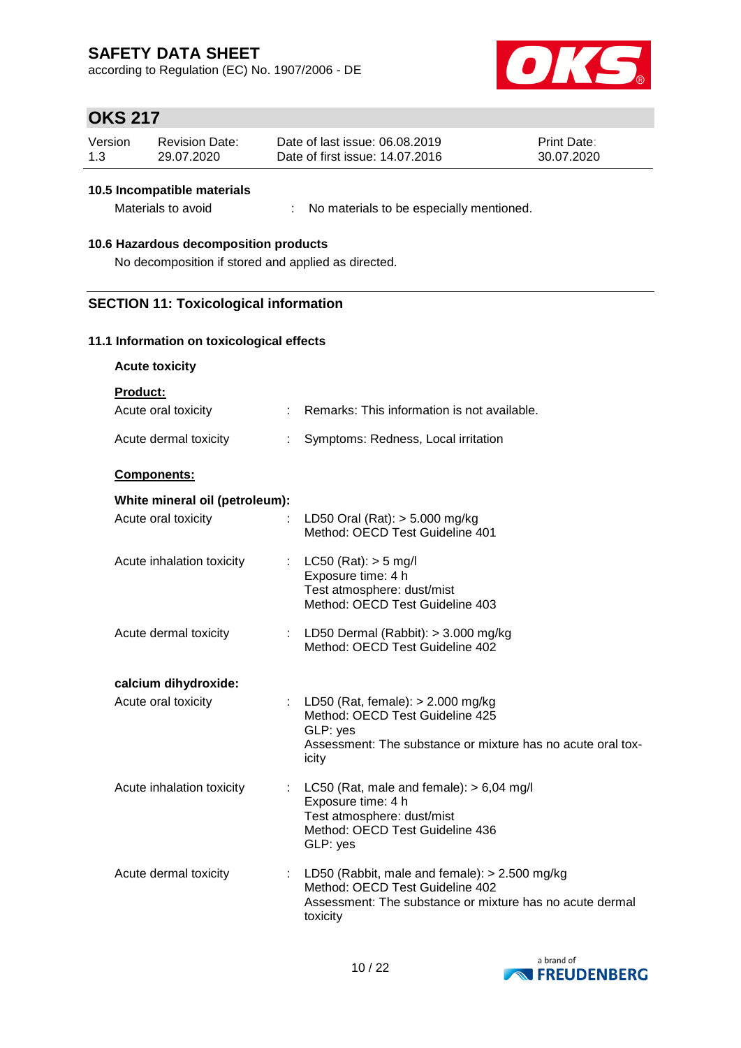according to Regulation (EC) No. 1907/2006 - DE



## **OKS 217**

| Version | Revision Date: | Date of last issue: 06.08.2019  | <b>Print Date:</b> |
|---------|----------------|---------------------------------|--------------------|
| 1.3     | 29.07.2020     | Date of first issue: 14.07.2016 | 30.07.2020         |

#### **10.5 Incompatible materials**

Materials to avoid : No materials to be especially mentioned.

#### **10.6 Hazardous decomposition products**

No decomposition if stored and applied as directed.

### **SECTION 11: Toxicological information**

#### **11.1 Information on toxicological effects**

**Acute toxicity**

**Product:**

| Acute oral toxicity            | Remarks: This information is not available.                                                                                                                |
|--------------------------------|------------------------------------------------------------------------------------------------------------------------------------------------------------|
| Acute dermal toxicity          | Symptoms: Redness, Local irritation                                                                                                                        |
| <b>Components:</b>             |                                                                                                                                                            |
| White mineral oil (petroleum): |                                                                                                                                                            |
| Acute oral toxicity<br>÷.      | LD50 Oral (Rat): $>$ 5.000 mg/kg<br>Method: OECD Test Guideline 401                                                                                        |
| Acute inhalation toxicity      | $LC50$ (Rat): $> 5$ mg/l<br>Exposure time: 4 h                                                                                                             |
|                                | Test atmosphere: dust/mist<br>Method: OECD Test Guideline 403                                                                                              |
| Acute dermal toxicity          | : LD50 Dermal (Rabbit): $>$ 3.000 mg/kg<br>Method: OECD Test Guideline 402                                                                                 |
| calcium dihydroxide:           |                                                                                                                                                            |
| Acute oral toxicity            | : LD50 (Rat, female): $> 2.000$ mg/kg<br>Method: OECD Test Guideline 425<br>GLP: yes                                                                       |
|                                | Assessment: The substance or mixture has no acute oral tox-<br>icity                                                                                       |
| Acute inhalation toxicity      | : LC50 (Rat, male and female): $> 6,04$ mg/l<br>Exposure time: 4 h                                                                                         |
|                                | Test atmosphere: dust/mist<br>Method: OECD Test Guideline 436<br>GLP: yes                                                                                  |
| Acute dermal toxicity          | LD50 (Rabbit, male and female): $> 2.500$ mg/kg<br>Method: OECD Test Guideline 402<br>Assessment: The substance or mixture has no acute dermal<br>toxicity |

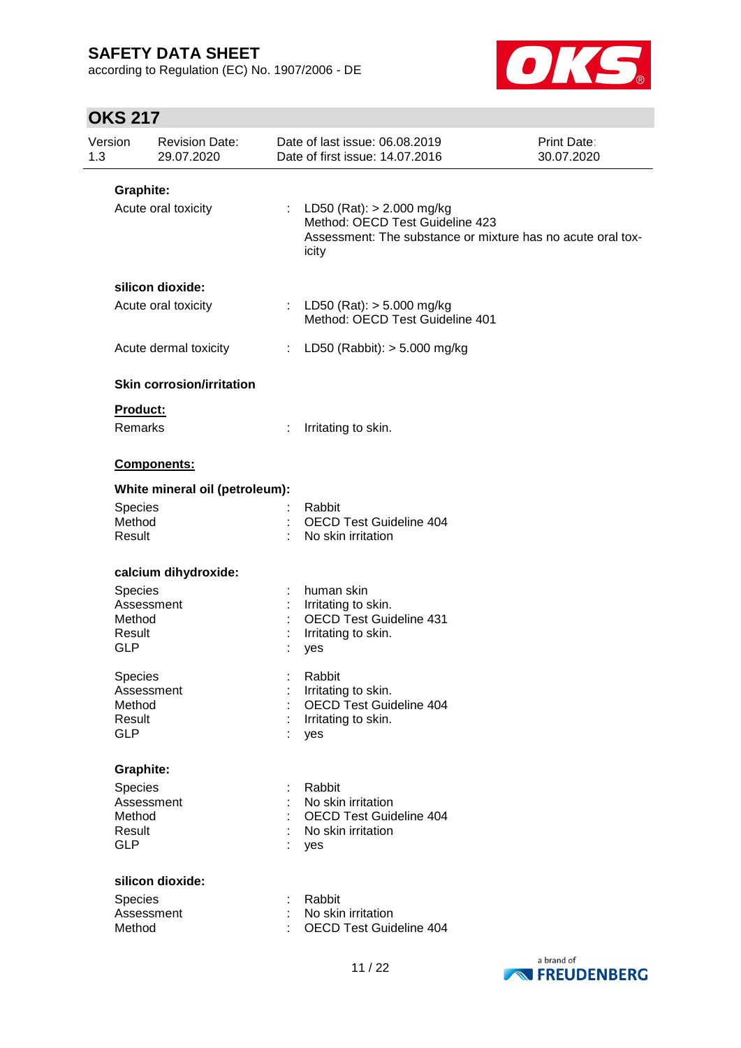according to Regulation (EC) No. 1907/2006 - DE



| Version<br>1.3 |                                                                | <b>Revision Date:</b><br>29.07.2020 |    | Date of last issue: 06.08.2019<br>Date of first issue: 14.07.2016                                                                        | <b>Print Date:</b><br>30.07.2020 |
|----------------|----------------------------------------------------------------|-------------------------------------|----|------------------------------------------------------------------------------------------------------------------------------------------|----------------------------------|
|                | <b>Graphite:</b>                                               |                                     |    |                                                                                                                                          |                                  |
|                | Acute oral toxicity                                            |                                     |    | : LD50 (Rat): $> 2.000$ mg/kg<br>Method: OECD Test Guideline 423<br>Assessment: The substance or mixture has no acute oral tox-<br>icity |                                  |
|                |                                                                | silicon dioxide:                    |    |                                                                                                                                          |                                  |
|                |                                                                | Acute oral toxicity                 |    | : LD50 (Rat): $>$ 5.000 mg/kg<br>Method: OECD Test Guideline 401                                                                         |                                  |
|                |                                                                | Acute dermal toxicity               | t. | LD50 (Rabbit): $>$ 5.000 mg/kg                                                                                                           |                                  |
|                |                                                                | <b>Skin corrosion/irritation</b>    |    |                                                                                                                                          |                                  |
|                | Product:<br>Remarks                                            |                                     |    | Irritating to skin.                                                                                                                      |                                  |
|                |                                                                | Components:                         |    |                                                                                                                                          |                                  |
|                |                                                                | White mineral oil (petroleum):      |    |                                                                                                                                          |                                  |
|                | Species<br>Method<br>Result                                    |                                     |    | Rabbit<br><b>OECD Test Guideline 404</b><br>No skin irritation                                                                           |                                  |
|                |                                                                | calcium dihydroxide:                |    |                                                                                                                                          |                                  |
|                | <b>Species</b><br>Assessment<br>Method<br>Result<br><b>GLP</b> |                                     |    | human skin<br>Irritating to skin.<br><b>OECD Test Guideline 431</b><br>Irritating to skin.<br>yes                                        |                                  |
|                | Species<br>Assessment<br>Method<br>Result<br><b>GLP</b>        |                                     |    | Rabbit<br>Irritating to skin.<br><b>OECD Test Guideline 404</b><br>Irritating to skin.<br>yes                                            |                                  |
|                | <b>Graphite:</b>                                               |                                     |    |                                                                                                                                          |                                  |
|                | Species<br>Assessment<br>Method<br>Result<br><b>GLP</b>        |                                     |    | Rabbit<br>No skin irritation<br><b>OECD Test Guideline 404</b><br>No skin irritation<br>yes                                              |                                  |
|                |                                                                | silicon dioxide:                    |    |                                                                                                                                          |                                  |
|                | Species<br>Assessment<br>Method                                |                                     |    | Rabbit<br>No skin irritation<br><b>OECD Test Guideline 404</b>                                                                           |                                  |

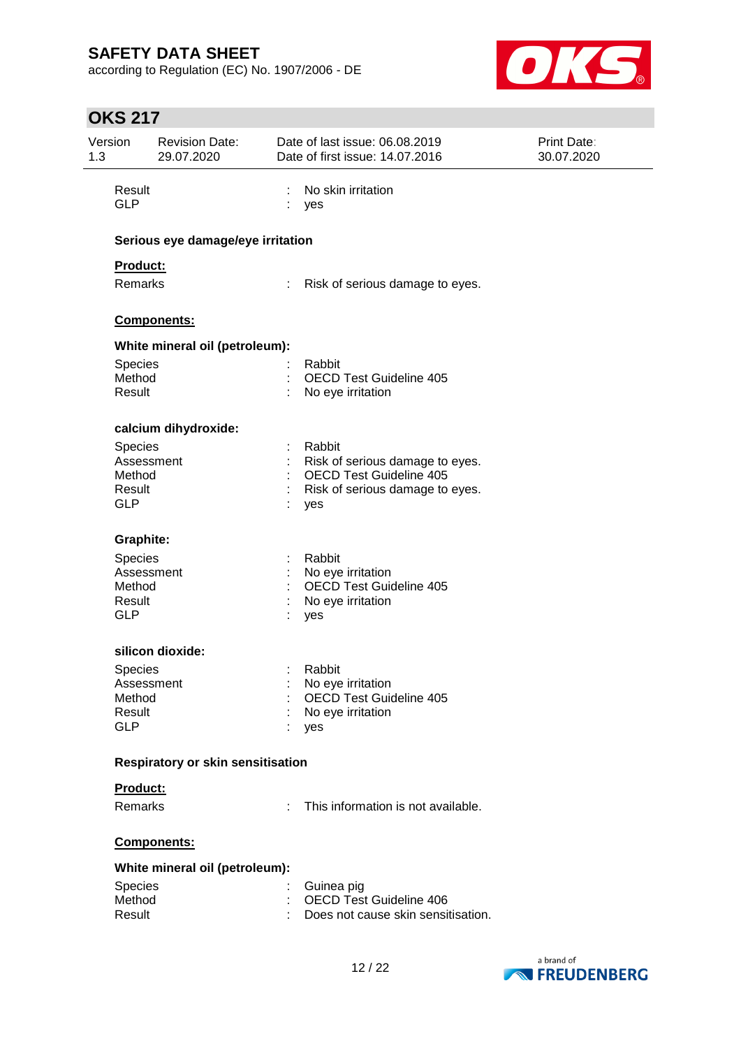according to Regulation (EC) No. 1907/2006 - DE



| Version<br>1.3       | <b>Revision Date:</b><br>29.07.2020 |    | Date of last issue: 06.08.2019<br>Date of first issue: 14.07.2016    | Print Date:<br>30.07.2020 |
|----------------------|-------------------------------------|----|----------------------------------------------------------------------|---------------------------|
| Result<br><b>GLP</b> |                                     | ÷  | No skin irritation<br>yes                                            |                           |
|                      | Serious eye damage/eye irritation   |    |                                                                      |                           |
| Product:             |                                     |    |                                                                      |                           |
| Remarks              |                                     | ÷. | Risk of serious damage to eyes.                                      |                           |
|                      | Components:                         |    |                                                                      |                           |
|                      | White mineral oil (petroleum):      |    |                                                                      |                           |
| <b>Species</b>       |                                     |    | Rabbit                                                               |                           |
| Method<br>Result     |                                     |    | <b>OECD Test Guideline 405</b><br>No eye irritation                  |                           |
|                      | calcium dihydroxide:                |    |                                                                      |                           |
| Species              |                                     |    | Rabbit                                                               |                           |
|                      | Assessment                          |    | Risk of serious damage to eyes.                                      |                           |
| Method<br>Result     |                                     |    | <b>OECD Test Guideline 405</b><br>Risk of serious damage to eyes.    |                           |
| <b>GLP</b>           |                                     |    | yes                                                                  |                           |
| <b>Graphite:</b>     |                                     |    |                                                                      |                           |
| Species              |                                     |    | Rabbit                                                               |                           |
|                      | Assessment                          |    | No eye irritation                                                    |                           |
| Method<br>Result     |                                     |    | <b>OECD Test Guideline 405</b><br>No eye irritation                  |                           |
| <b>GLP</b>           |                                     |    | yes                                                                  |                           |
|                      | silicon dioxide:                    |    |                                                                      |                           |
| <b>Species</b>       |                                     |    | Rabbit                                                               |                           |
|                      | Assessment                          |    | No eye irritation                                                    |                           |
| Method<br>Result     |                                     |    | <b>OECD Test Guideline 405</b><br>No eye irritation                  |                           |
| <b>GLP</b>           |                                     |    | yes                                                                  |                           |
|                      | Respiratory or skin sensitisation   |    |                                                                      |                           |
| Product:             |                                     |    |                                                                      |                           |
| Remarks              |                                     | ÷. | This information is not available.                                   |                           |
|                      | Components:                         |    |                                                                      |                           |
|                      | White mineral oil (petroleum):      |    |                                                                      |                           |
| Species              |                                     |    | Guinea pig                                                           |                           |
| Method<br>Result     |                                     |    | <b>OECD Test Guideline 406</b><br>Does not cause skin sensitisation. |                           |
|                      |                                     |    |                                                                      |                           |
|                      |                                     |    |                                                                      |                           |

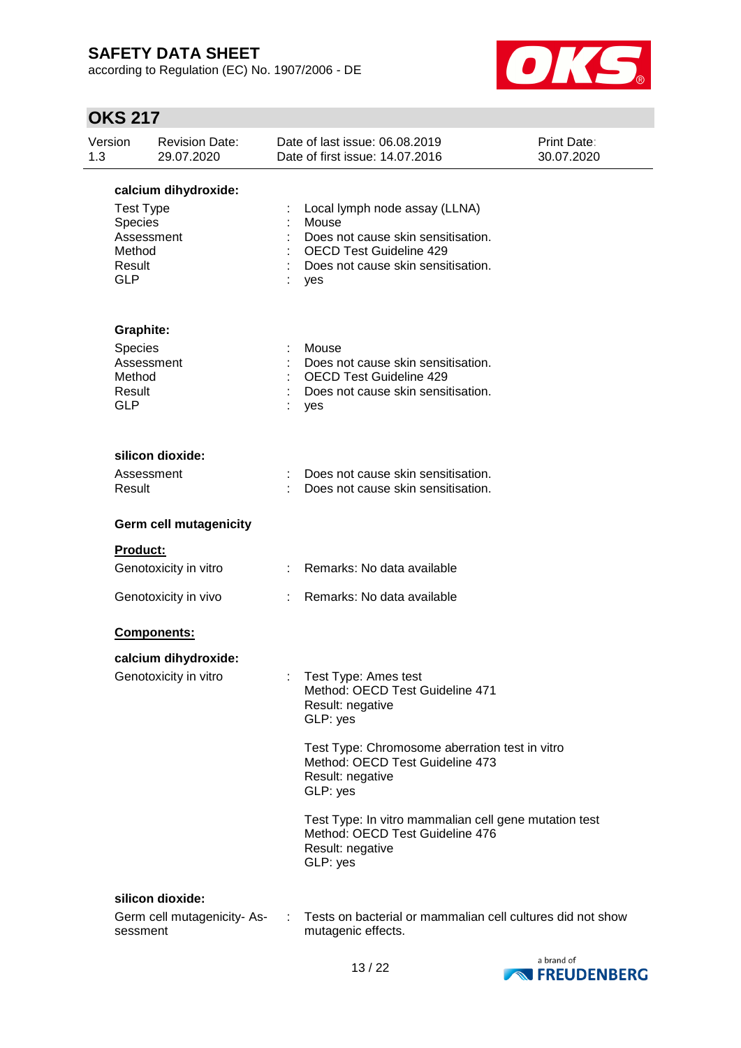according to Regulation (EC) No. 1907/2006 - DE



| Version<br>1.3 |                                                                             | <b>Revision Date:</b><br>29.07.2020 |   | Date of last issue: 06.08.2019<br>Date of first issue: 14.07.2016                                                                                           | <b>Print Date:</b><br>30.07.2020 |
|----------------|-----------------------------------------------------------------------------|-------------------------------------|---|-------------------------------------------------------------------------------------------------------------------------------------------------------------|----------------------------------|
|                |                                                                             | calcium dihydroxide:                |   |                                                                                                                                                             |                                  |
|                | <b>Test Type</b><br>Species<br>Assessment<br>Method<br>Result<br><b>GLP</b> |                                     |   | Local lymph node assay (LLNA)<br>Mouse<br>Does not cause skin sensitisation.<br><b>OECD Test Guideline 429</b><br>Does not cause skin sensitisation.<br>yes |                                  |
|                | <b>Graphite:</b>                                                            |                                     |   |                                                                                                                                                             |                                  |
|                | <b>Species</b><br>Assessment<br>Method<br>Result<br><b>GLP</b>              |                                     |   | Mouse<br>Does not cause skin sensitisation.<br><b>OECD Test Guideline 429</b><br>Does not cause skin sensitisation.<br>yes                                  |                                  |
|                |                                                                             | silicon dioxide:                    |   |                                                                                                                                                             |                                  |
|                | Assessment<br>Result                                                        |                                     |   | Does not cause skin sensitisation.<br>Does not cause skin sensitisation.                                                                                    |                                  |
|                |                                                                             | <b>Germ cell mutagenicity</b>       |   |                                                                                                                                                             |                                  |
|                | Product:                                                                    |                                     |   |                                                                                                                                                             |                                  |
|                |                                                                             | Genotoxicity in vitro               |   | : Remarks: No data available                                                                                                                                |                                  |
|                |                                                                             | Genotoxicity in vivo                |   | Remarks: No data available                                                                                                                                  |                                  |
|                |                                                                             | Components:                         |   |                                                                                                                                                             |                                  |
|                |                                                                             | calcium dihydroxide:                |   |                                                                                                                                                             |                                  |
|                |                                                                             | Genotoxicity in vitro               | ÷ | Test Type: Ames test<br>Method: OECD Test Guideline 471<br>Result: negative<br>GLP: yes                                                                     |                                  |
|                |                                                                             |                                     |   | Test Type: Chromosome aberration test in vitro<br>Method: OECD Test Guideline 473<br>Result: negative<br>GLP: yes                                           |                                  |
|                |                                                                             |                                     |   | Test Type: In vitro mammalian cell gene mutation test<br>Method: OECD Test Guideline 476<br>Result: negative<br>GLP: yes                                    |                                  |
|                |                                                                             | silicon dioxide:                    |   |                                                                                                                                                             |                                  |
|                | sessment                                                                    | Germ cell mutagenicity-As-          |   | Tests on bacterial or mammalian cell cultures did not show<br>mutagenic effects.                                                                            |                                  |

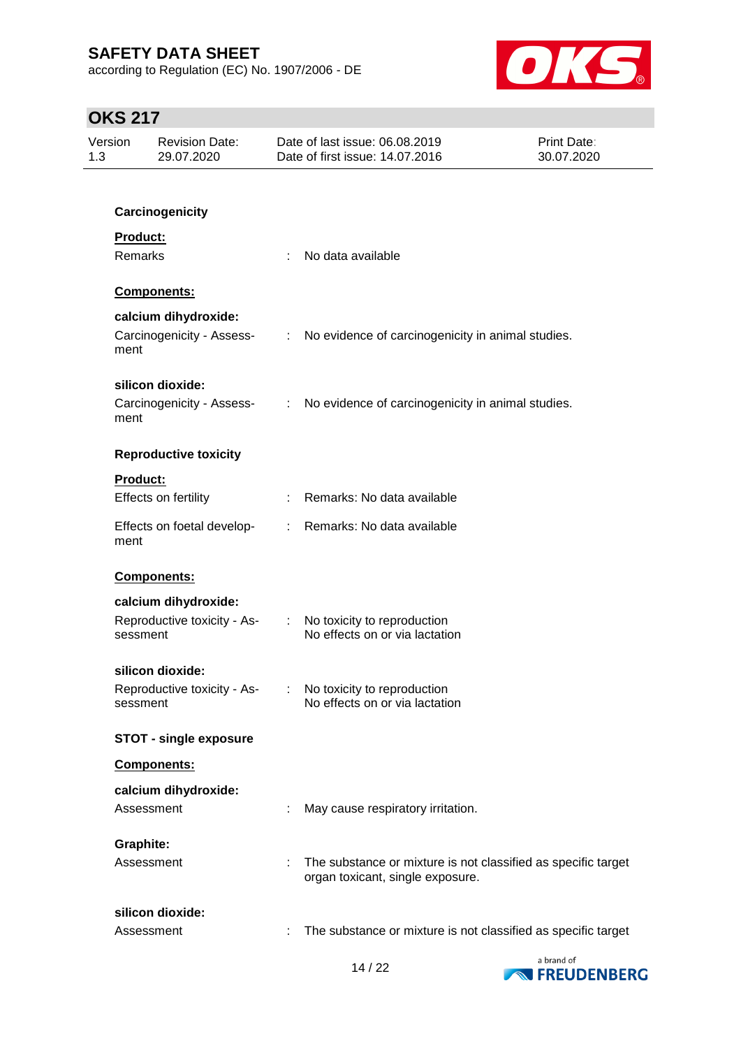according to Regulation (EC) No. 1907/2006 - DE



| Version<br>1.3  | <b>Revision Date:</b><br>29.07.2020     |   | Date of last issue: 06.08.2019<br>Date of first issue: 14.07.2016                                 | <b>Print Date:</b><br>30.07.2020 |
|-----------------|-----------------------------------------|---|---------------------------------------------------------------------------------------------------|----------------------------------|
|                 |                                         |   |                                                                                                   |                                  |
|                 | Carcinogenicity                         |   |                                                                                                   |                                  |
| <b>Product:</b> |                                         |   |                                                                                                   |                                  |
| Remarks         |                                         |   | No data available                                                                                 |                                  |
|                 | <b>Components:</b>                      |   |                                                                                                   |                                  |
|                 | calcium dihydroxide:                    |   |                                                                                                   |                                  |
| ment            | Carcinogenicity - Assess-               |   | : No evidence of carcinogenicity in animal studies.                                               |                                  |
|                 | silicon dioxide:                        |   |                                                                                                   |                                  |
| ment            | Carcinogenicity - Assess-               |   | : No evidence of carcinogenicity in animal studies.                                               |                                  |
|                 | <b>Reproductive toxicity</b>            |   |                                                                                                   |                                  |
| <b>Product:</b> |                                         |   |                                                                                                   |                                  |
|                 | Effects on fertility                    |   | : Remarks: No data available                                                                      |                                  |
| ment            | Effects on foetal develop-              |   | : Remarks: No data available                                                                      |                                  |
|                 | <b>Components:</b>                      |   |                                                                                                   |                                  |
|                 | calcium dihydroxide:                    |   |                                                                                                   |                                  |
|                 | Reproductive toxicity - As-<br>sessment |   | : No toxicity to reproduction<br>No effects on or via lactation                                   |                                  |
|                 | silicon dioxide:                        |   |                                                                                                   |                                  |
|                 | Reproductive toxicity - As-<br>sessment |   | No toxicity to reproduction<br>No effects on or via lactation                                     |                                  |
|                 | <b>STOT - single exposure</b>           |   |                                                                                                   |                                  |
|                 | Components:                             |   |                                                                                                   |                                  |
|                 | calcium dihydroxide:                    |   |                                                                                                   |                                  |
|                 | Assessment                              |   | May cause respiratory irritation.                                                                 |                                  |
|                 | <b>Graphite:</b>                        |   |                                                                                                   |                                  |
|                 | Assessment                              |   | The substance or mixture is not classified as specific target<br>organ toxicant, single exposure. |                                  |
|                 | silicon dioxide:                        |   |                                                                                                   |                                  |
|                 | Assessment                              | ÷ | The substance or mixture is not classified as specific target                                     |                                  |

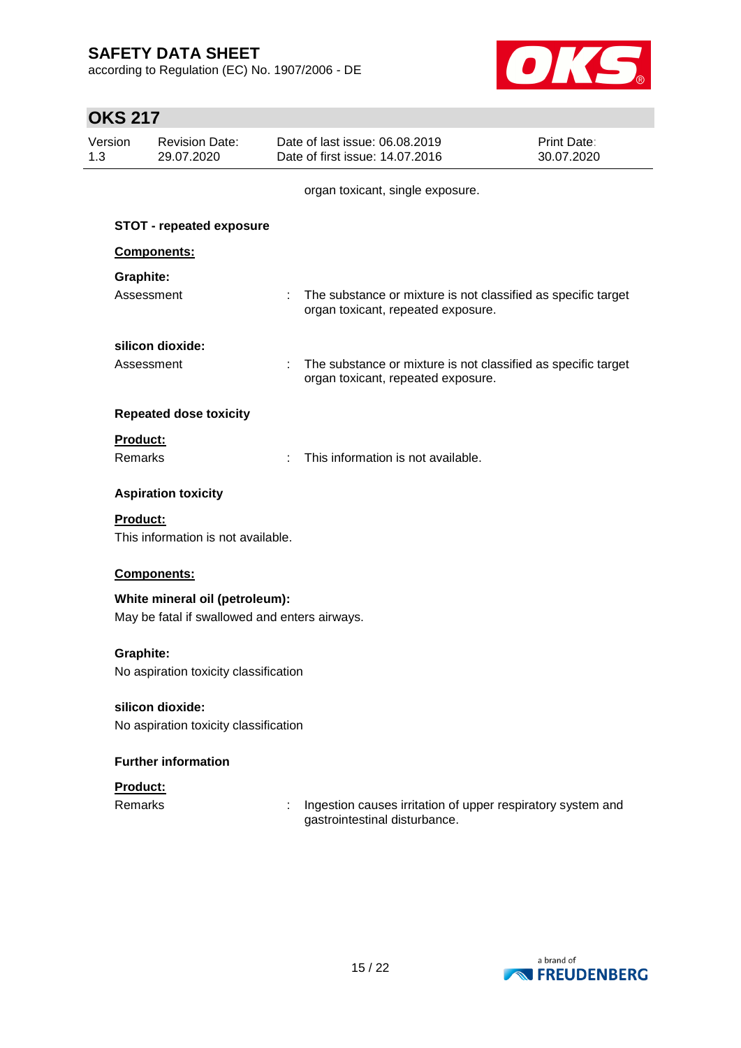according to Regulation (EC) No. 1907/2006 - DE



| UNJ 417          |                                               |                                                                                                       |                                  |
|------------------|-----------------------------------------------|-------------------------------------------------------------------------------------------------------|----------------------------------|
| Version<br>1.3   | <b>Revision Date:</b><br>29.07.2020           | Date of last issue: 06.08.2019<br>Date of first issue: 14.07.2016                                     | <b>Print Date:</b><br>30.07.2020 |
|                  |                                               | organ toxicant, single exposure.                                                                      |                                  |
|                  | <b>STOT - repeated exposure</b>               |                                                                                                       |                                  |
|                  | Components:                                   |                                                                                                       |                                  |
| Graphite:        |                                               |                                                                                                       |                                  |
|                  | Assessment                                    | : The substance or mixture is not classified as specific target<br>organ toxicant, repeated exposure. |                                  |
|                  | silicon dioxide:                              |                                                                                                       |                                  |
|                  | Assessment                                    | The substance or mixture is not classified as specific target<br>organ toxicant, repeated exposure.   |                                  |
|                  | <b>Repeated dose toxicity</b>                 |                                                                                                       |                                  |
| Product:         |                                               |                                                                                                       |                                  |
| <b>Remarks</b>   |                                               | This information is not available.                                                                    |                                  |
|                  | <b>Aspiration toxicity</b>                    |                                                                                                       |                                  |
| <b>Product:</b>  | This information is not available.            |                                                                                                       |                                  |
|                  | Components:                                   |                                                                                                       |                                  |
|                  | White mineral oil (petroleum):                |                                                                                                       |                                  |
|                  | May be fatal if swallowed and enters airways. |                                                                                                       |                                  |
| <b>Graphite:</b> |                                               |                                                                                                       |                                  |
|                  | No aspiration toxicity classification         |                                                                                                       |                                  |
|                  | silicon dioxide:                              |                                                                                                       |                                  |
|                  | No aspiration toxicity classification         |                                                                                                       |                                  |
|                  | <b>Further information</b>                    |                                                                                                       |                                  |
| Product:         |                                               |                                                                                                       |                                  |
| <b>Remarks</b>   |                                               | Ingestion causes irritation of upper respiratory system and<br>gastrointestinal disturbance.          |                                  |

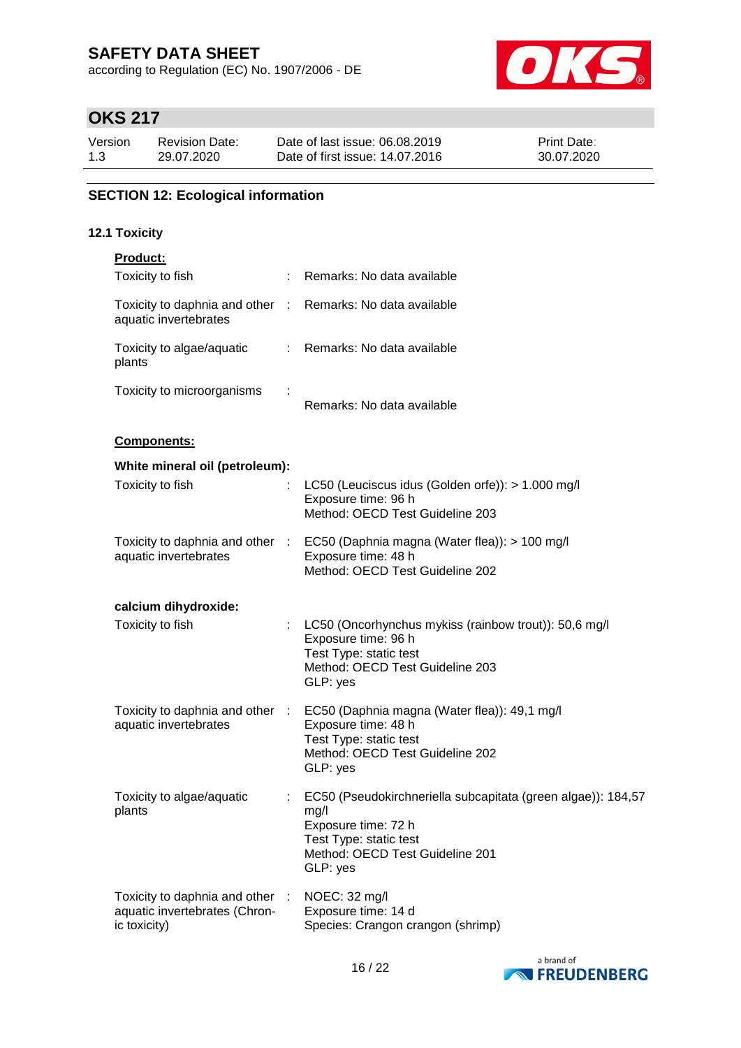according to Regulation (EC) No. 1907/2006 - DE



# **OKS 217**

| Version | <b>Revision Date:</b> | Date of last issue: 06.08.2019  | <b>Print Date:</b> |
|---------|-----------------------|---------------------------------|--------------------|
| 1.3     | 29.07.2020            | Date of first issue: 14.07.2016 | 30.07.2020         |

### **SECTION 12: Ecological information**

#### **12.1 Toxicity**

| <b>Product:</b>                                                                |                                                                                                                                                                      |
|--------------------------------------------------------------------------------|----------------------------------------------------------------------------------------------------------------------------------------------------------------------|
| Toxicity to fish                                                               | : Remarks: No data available                                                                                                                                         |
| Toxicity to daphnia and other :<br>aquatic invertebrates                       | Remarks: No data available                                                                                                                                           |
| Toxicity to algae/aquatic<br>plants                                            | : Remarks: No data available                                                                                                                                         |
| Toxicity to microorganisms                                                     | Remarks: No data available                                                                                                                                           |
| Components:                                                                    |                                                                                                                                                                      |
| White mineral oil (petroleum):                                                 |                                                                                                                                                                      |
| Toxicity to fish                                                               | LC50 (Leuciscus idus (Golden orfe)): > 1.000 mg/l<br>Exposure time: 96 h<br>Method: OECD Test Guideline 203                                                          |
| Toxicity to daphnia and other :<br>aquatic invertebrates                       | EC50 (Daphnia magna (Water flea)): > 100 mg/l<br>Exposure time: 48 h<br>Method: OECD Test Guideline 202                                                              |
| calcium dihydroxide:                                                           |                                                                                                                                                                      |
| Toxicity to fish                                                               | LC50 (Oncorhynchus mykiss (rainbow trout)): 50,6 mg/l<br>Exposure time: 96 h<br>Test Type: static test<br>Method: OECD Test Guideline 203<br>GLP: yes                |
| Toxicity to daphnia and other :<br>aquatic invertebrates                       | EC50 (Daphnia magna (Water flea)): 49,1 mg/l<br>Exposure time: 48 h<br>Test Type: static test<br>Method: OECD Test Guideline 202<br>GLP: yes                         |
| Toxicity to algae/aquatic<br>plants                                            | EC50 (Pseudokirchneriella subcapitata (green algae)): 184,57<br>mg/l<br>Exposure time: 72 h<br>Test Type: static test<br>Method: OECD Test Guideline 201<br>GLP: yes |
| Toxicity to daphnia and other<br>aquatic invertebrates (Chron-<br>ic toxicity) | NOEC: 32 mg/l<br>Exposure time: 14 d<br>Species: Crangon crangon (shrimp)                                                                                            |

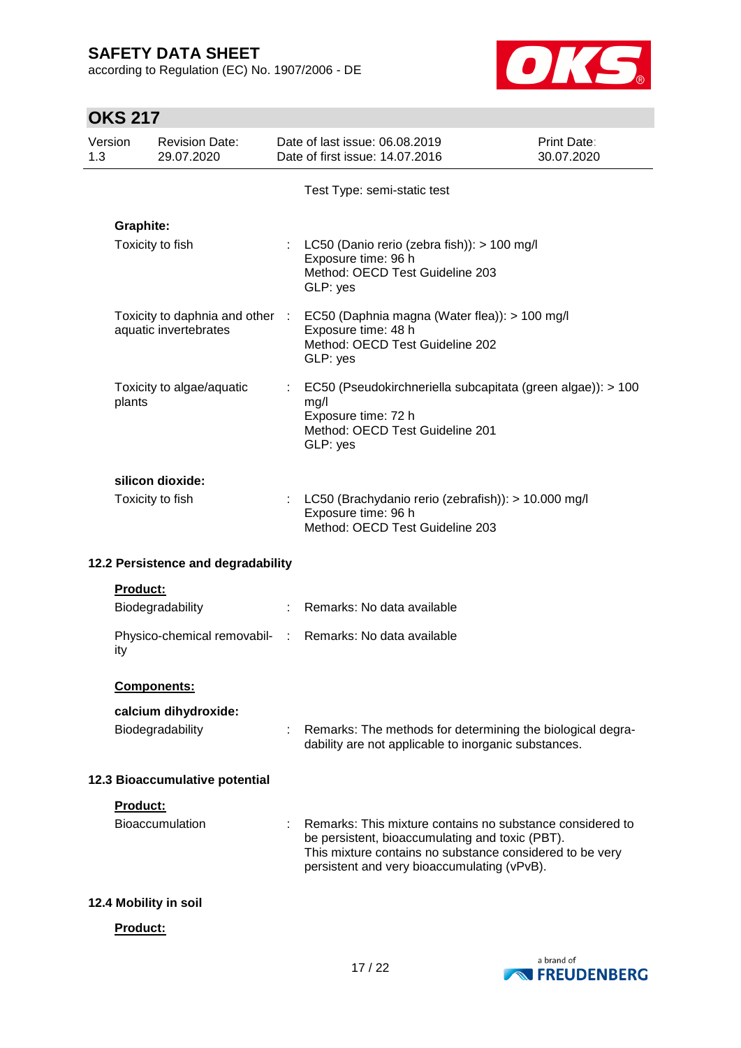according to Regulation (EC) No. 1907/2006 - DE



|     | Version          | <b>Revision Date:</b>                | Date of last issue: 06.08.2019                                                                                                                                                                                          | Print Date: |
|-----|------------------|--------------------------------------|-------------------------------------------------------------------------------------------------------------------------------------------------------------------------------------------------------------------------|-------------|
| 1.3 |                  | 29.07.2020                           | Date of first issue: 14.07.2016                                                                                                                                                                                         | 30.07.2020  |
|     |                  |                                      | Test Type: semi-static test                                                                                                                                                                                             |             |
|     | <b>Graphite:</b> |                                      |                                                                                                                                                                                                                         |             |
|     |                  | Toxicity to fish                     | : LC50 (Danio rerio (zebra fish)): $> 100$ mg/l<br>Exposure time: 96 h<br>Method: OECD Test Guideline 203<br>GLP: yes                                                                                                   |             |
|     |                  | aquatic invertebrates                | Toxicity to daphnia and other : EC50 (Daphnia magna (Water flea)): > 100 mg/l<br>Exposure time: 48 h<br>Method: OECD Test Guideline 202<br>GLP: yes                                                                     |             |
|     | plants           | Toxicity to algae/aquatic            | EC50 (Pseudokirchneriella subcapitata (green algae)): > 100<br>mg/l<br>Exposure time: 72 h<br>Method: OECD Test Guideline 201<br>GLP: yes                                                                               |             |
|     |                  | silicon dioxide:<br>Toxicity to fish | : LC50 (Brachydanio rerio (zebrafish)): > 10.000 mg/l<br>Exposure time: 96 h<br>Method: OECD Test Guideline 203                                                                                                         |             |
|     |                  | 12.2 Persistence and degradability   |                                                                                                                                                                                                                         |             |
|     | Product:         |                                      |                                                                                                                                                                                                                         |             |
|     |                  | Biodegradability                     | : Remarks: No data available                                                                                                                                                                                            |             |
|     | ity              |                                      | Physico-chemical removabil- : Remarks: No data available                                                                                                                                                                |             |
|     |                  | Components:                          |                                                                                                                                                                                                                         |             |
|     |                  | calcium dihydroxide:                 |                                                                                                                                                                                                                         |             |
|     |                  | Biodegradability                     | : Remarks: The methods for determining the biological degra-<br>dability are not applicable to inorganic substances.                                                                                                    |             |
|     |                  | 12.3 Bioaccumulative potential       |                                                                                                                                                                                                                         |             |
|     | Product:         |                                      |                                                                                                                                                                                                                         |             |
|     |                  | <b>Bioaccumulation</b>               | Remarks: This mixture contains no substance considered to<br>be persistent, bioaccumulating and toxic (PBT).<br>This mixture contains no substance considered to be very<br>persistent and very bioaccumulating (vPvB). |             |
|     |                  | 12.4 Mobility in soil                |                                                                                                                                                                                                                         |             |
|     | <b>Product:</b>  |                                      |                                                                                                                                                                                                                         |             |

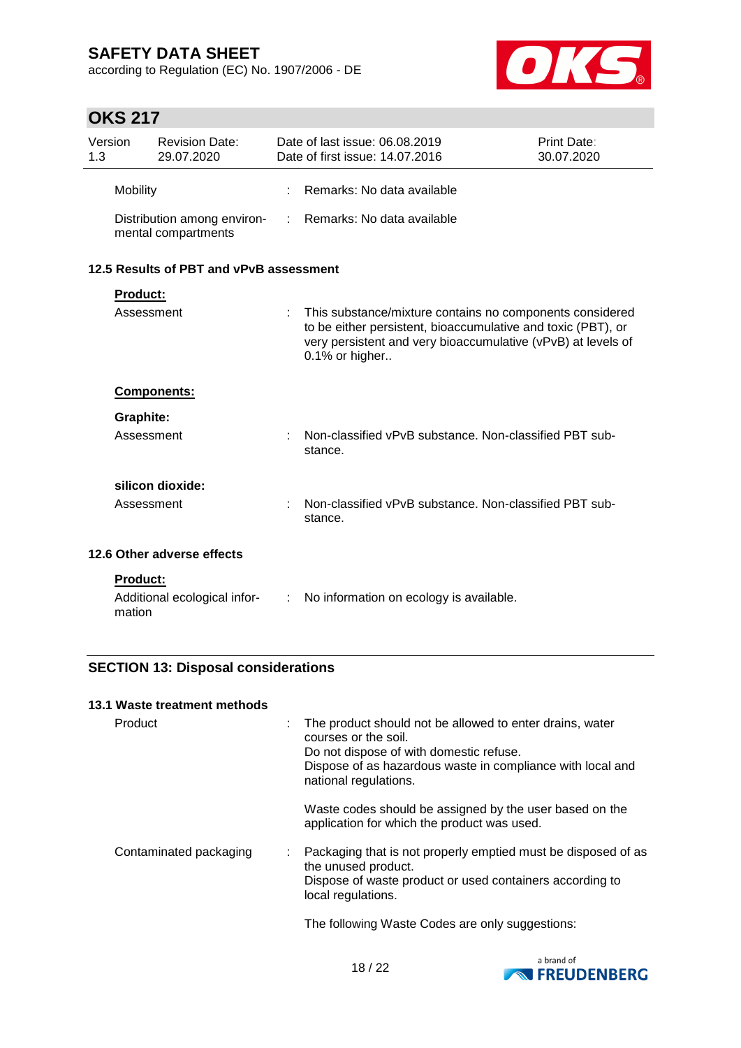according to Regulation (EC) No. 1907/2006 - DE



## **OKS 217**

| Version<br>1.3 |                 | <b>Revision Date:</b><br>29.07.2020                |   | Date of last issue: 06.08.2019<br>Date of first issue: 14.07.2016                                                                                                                                          | Print Date:<br>30.07.2020 |
|----------------|-----------------|----------------------------------------------------|---|------------------------------------------------------------------------------------------------------------------------------------------------------------------------------------------------------------|---------------------------|
|                | <b>Mobility</b> |                                                    |   | Remarks: No data available                                                                                                                                                                                 |                           |
|                |                 | Distribution among environ-<br>mental compartments |   | : Remarks: No data available                                                                                                                                                                               |                           |
|                |                 | 12.5 Results of PBT and vPvB assessment            |   |                                                                                                                                                                                                            |                           |
|                | <b>Product:</b> |                                                    |   |                                                                                                                                                                                                            |                           |
|                | Assessment      |                                                    |   | This substance/mixture contains no components considered<br>to be either persistent, bioaccumulative and toxic (PBT), or<br>very persistent and very bioaccumulative (vPvB) at levels of<br>0.1% or higher |                           |
|                |                 | <b>Components:</b>                                 |   |                                                                                                                                                                                                            |                           |
|                | Graphite:       |                                                    |   |                                                                                                                                                                                                            |                           |
|                | Assessment      |                                                    |   | Non-classified vPvB substance. Non-classified PBT sub-<br>stance.                                                                                                                                          |                           |
|                |                 | silicon dioxide:                                   |   |                                                                                                                                                                                                            |                           |
|                | Assessment      |                                                    |   | Non-classified vPvB substance. Non-classified PBT sub-<br>stance.                                                                                                                                          |                           |
|                |                 | 12.6 Other adverse effects                         |   |                                                                                                                                                                                                            |                           |
|                | <b>Product:</b> |                                                    |   |                                                                                                                                                                                                            |                           |
|                | mation          | Additional ecological infor-                       | ÷ | No information on ecology is available.                                                                                                                                                                    |                           |

### **SECTION 13: Disposal considerations**

### **13.1 Waste treatment methods**

| Product                |  | : The product should not be allowed to enter drains, water<br>courses or the soil.<br>Do not dispose of with domestic refuse.<br>Dispose of as hazardous waste in compliance with local and<br>national regulations. |
|------------------------|--|----------------------------------------------------------------------------------------------------------------------------------------------------------------------------------------------------------------------|
|                        |  | Waste codes should be assigned by the user based on the<br>application for which the product was used.                                                                                                               |
| Contaminated packaging |  | : Packaging that is not properly emptied must be disposed of as<br>the unused product.<br>Dispose of waste product or used containers according to<br>local regulations.                                             |
|                        |  | The following Waste Codes are only suggestions:                                                                                                                                                                      |

a brand of **EXPRESSION FREUDENBERG**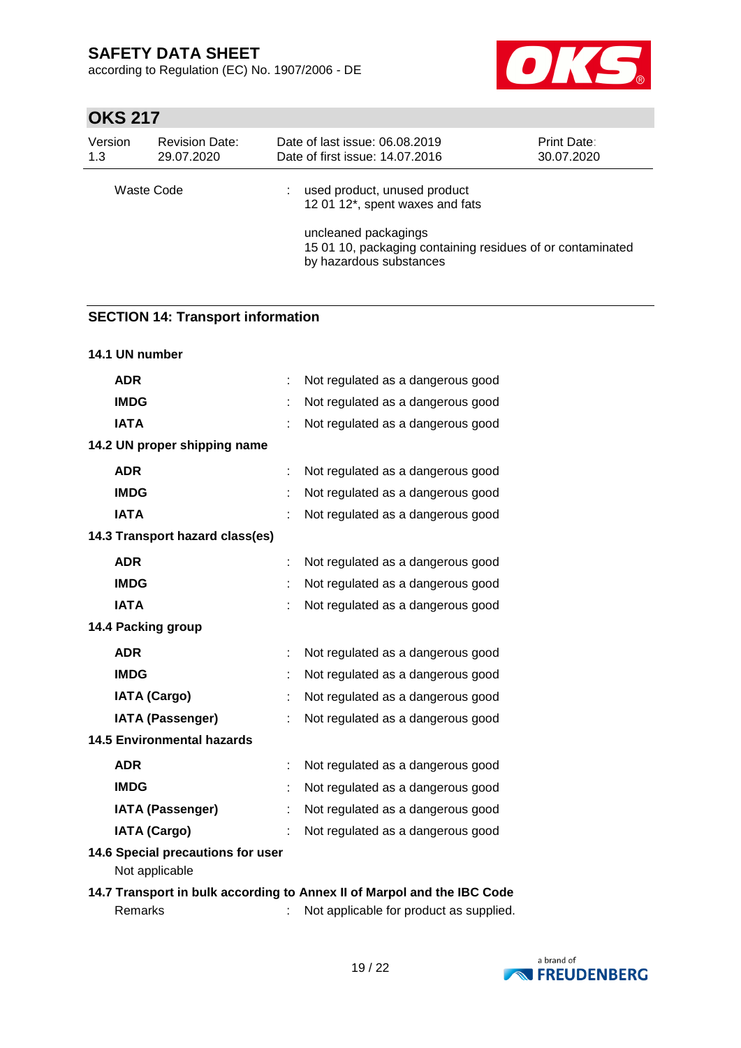according to Regulation (EC) No. 1907/2006 - DE



## **OKS 217**

| Version<br>1.3 | <b>Revision Date:</b><br>29.07.2020 | Date of last issue: 06.08.2019<br><b>Print Date:</b><br>Date of first issue: 14.07.2016<br>30.07.2020                                                                            |  |  |  |
|----------------|-------------------------------------|----------------------------------------------------------------------------------------------------------------------------------------------------------------------------------|--|--|--|
| Waste Code     |                                     | used product, unused product<br>12 01 12*, spent waxes and fats<br>uncleaned packagings<br>15 01 10, packaging containing residues of or contaminated<br>by hazardous substances |  |  |  |

### **SECTION 14: Transport information**

| 14.1 UN number                                      |   |                                   |
|-----------------------------------------------------|---|-----------------------------------|
| <b>ADR</b>                                          | ÷ | Not regulated as a dangerous good |
| <b>IMDG</b>                                         | t | Not regulated as a dangerous good |
| <b>IATA</b>                                         |   | Not regulated as a dangerous good |
| 14.2 UN proper shipping name                        |   |                                   |
| <b>ADR</b>                                          |   | Not regulated as a dangerous good |
| <b>IMDG</b>                                         |   | Not regulated as a dangerous good |
| <b>IATA</b>                                         |   | Not regulated as a dangerous good |
| 14.3 Transport hazard class(es)                     |   |                                   |
| <b>ADR</b>                                          | ÷ | Not regulated as a dangerous good |
| <b>IMDG</b>                                         |   | Not regulated as a dangerous good |
| <b>IATA</b>                                         |   | Not regulated as a dangerous good |
| 14.4 Packing group                                  |   |                                   |
| <b>ADR</b>                                          | t | Not regulated as a dangerous good |
| <b>IMDG</b>                                         | t | Not regulated as a dangerous good |
| <b>IATA (Cargo)</b>                                 | t | Not regulated as a dangerous good |
| <b>IATA (Passenger)</b>                             | t | Not regulated as a dangerous good |
| <b>14.5 Environmental hazards</b>                   |   |                                   |
| <b>ADR</b>                                          |   | Not regulated as a dangerous good |
| <b>IMDG</b>                                         |   | Not regulated as a dangerous good |
| <b>IATA (Passenger)</b>                             |   | Not regulated as a dangerous good |
| <b>IATA (Cargo)</b>                                 |   | Not regulated as a dangerous good |
| 14.6 Special precautions for user<br>Not applicable |   |                                   |

### **14.7 Transport in bulk according to Annex II of Marpol and the IBC Code** Remarks : Not applicable for product as supplied.

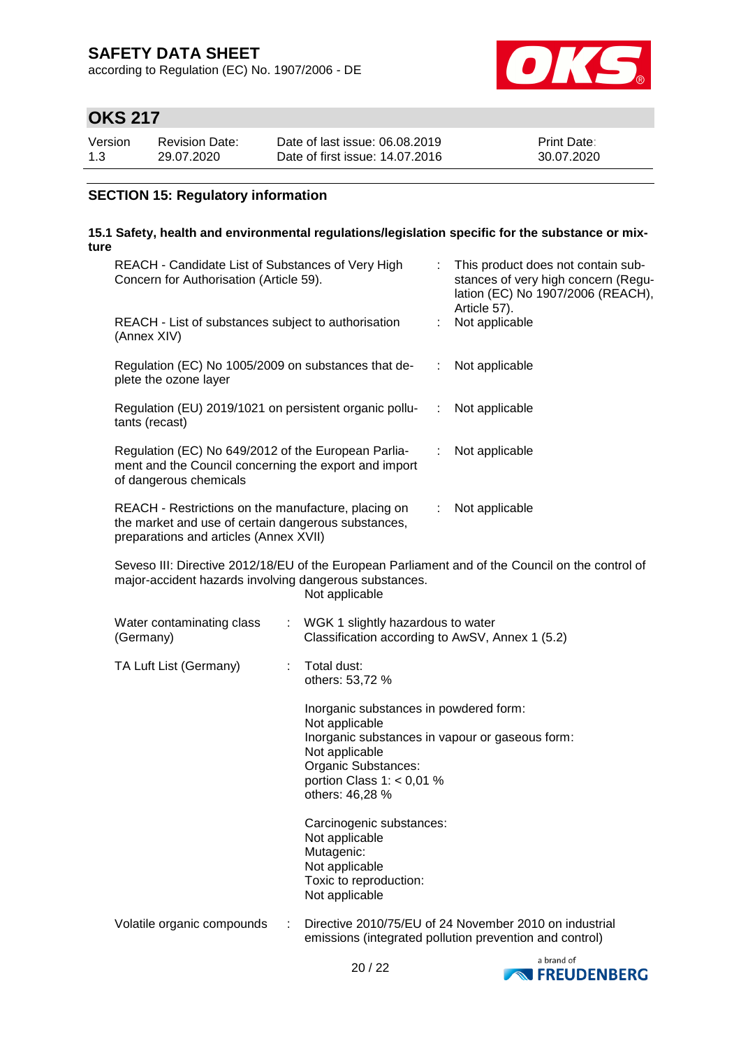according to Regulation (EC) No. 1907/2006 - DE



# **OKS 217**

| Version | <b>Revision Date:</b> | Date of last issue: 06.08.2019  | <b>Print Date:</b> |
|---------|-----------------------|---------------------------------|--------------------|
| 1.3     | 29.07.2020            | Date of first issue: 14.07.2016 | 30.07.2020         |

### **SECTION 15: Regulatory information**

#### **15.1 Safety, health and environmental regulations/legislation specific for the substance or mixture**

| REACH - Candidate List of Substances of Very High<br>Concern for Authorisation (Article 59).                                                         |                       | t.                                                                                                                                                  | This product does not contain sub-<br>stances of very high concern (Regu-<br>lation (EC) No 1907/2006 (REACH),<br>Article 57). |                                                                                                                   |
|------------------------------------------------------------------------------------------------------------------------------------------------------|-----------------------|-----------------------------------------------------------------------------------------------------------------------------------------------------|--------------------------------------------------------------------------------------------------------------------------------|-------------------------------------------------------------------------------------------------------------------|
| REACH - List of substances subject to authorisation<br>(Annex XIV)                                                                                   |                       | t.                                                                                                                                                  | Not applicable                                                                                                                 |                                                                                                                   |
| Regulation (EC) No 1005/2009 on substances that de-<br>plete the ozone layer                                                                         |                       | Not applicable                                                                                                                                      |                                                                                                                                |                                                                                                                   |
| Regulation (EU) 2019/1021 on persistent organic pollu-<br>tants (recast)                                                                             |                       | ÷                                                                                                                                                   | Not applicable                                                                                                                 |                                                                                                                   |
| Regulation (EC) No 649/2012 of the European Parlia-<br>ment and the Council concerning the export and import<br>of dangerous chemicals               |                       |                                                                                                                                                     | ÷                                                                                                                              | Not applicable                                                                                                    |
| REACH - Restrictions on the manufacture, placing on<br>the market and use of certain dangerous substances,<br>preparations and articles (Annex XVII) |                       |                                                                                                                                                     | ÷.                                                                                                                             | Not applicable                                                                                                    |
| major-accident hazards involving dangerous substances.                                                                                               |                       | Not applicable                                                                                                                                      |                                                                                                                                | Seveso III: Directive 2012/18/EU of the European Parliament and of the Council on the control of                  |
| Water contaminating class<br>(Germany)                                                                                                               | $\mathbb{Z}^{\times}$ | WGK 1 slightly hazardous to water<br>Classification according to AwSV, Annex 1 (5.2)                                                                |                                                                                                                                |                                                                                                                   |
| TA Luft List (Germany)                                                                                                                               |                       | Total dust:<br>others: 53,72 %                                                                                                                      |                                                                                                                                |                                                                                                                   |
|                                                                                                                                                      |                       | Inorganic substances in powdered form:<br>Not applicable<br>Not applicable<br>Organic Substances:<br>portion Class 1: $<$ 0,01 %<br>others: 46,28 % |                                                                                                                                | Inorganic substances in vapour or gaseous form:                                                                   |
|                                                                                                                                                      |                       | Carcinogenic substances:<br>Not applicable<br>Mutagenic:<br>Not applicable<br>Toxic to reproduction:<br>Not applicable                              |                                                                                                                                |                                                                                                                   |
| Volatile organic compounds                                                                                                                           |                       |                                                                                                                                                     |                                                                                                                                | Directive 2010/75/EU of 24 November 2010 on industrial<br>emissions (integrated pollution prevention and control) |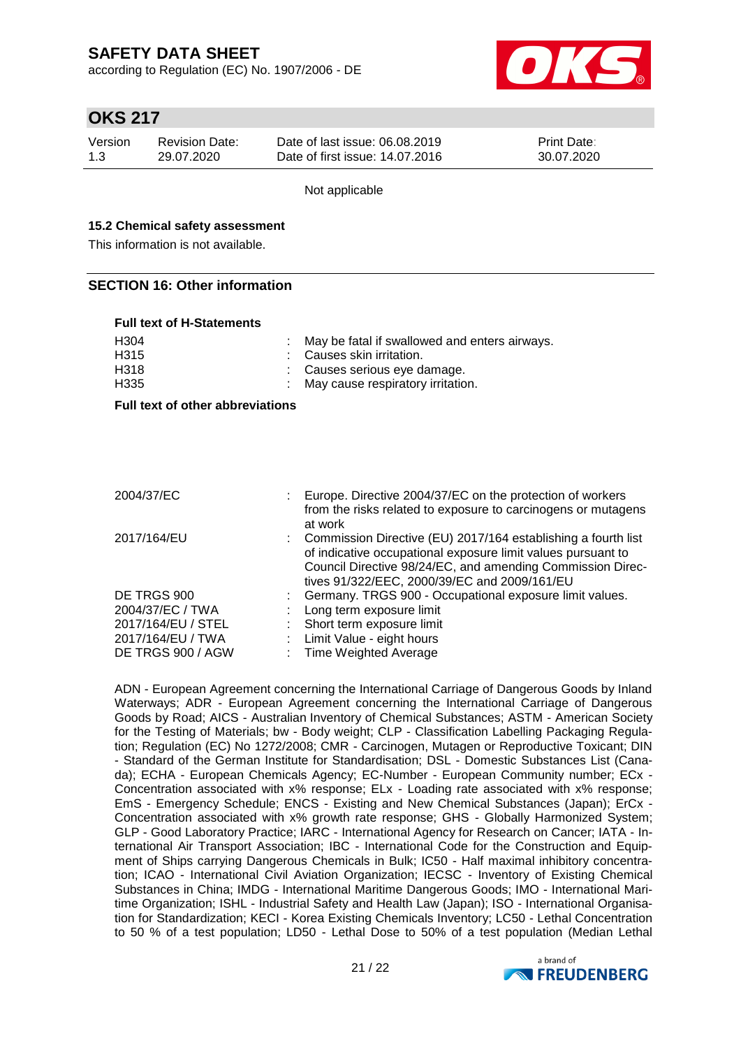according to Regulation (EC) No. 1907/2006 - DE



## **OKS 217**

| Version | Revision Date: | Date of last issue: 06.08.2019  | <b>Print Date:</b> |
|---------|----------------|---------------------------------|--------------------|
| 1.3     | 29.07.2020     | Date of first issue: 14.07.2016 | 30.07.2020         |

Not applicable

#### **15.2 Chemical safety assessment**

This information is not available.

#### **SECTION 16: Other information**

#### **Full text of H-Statements**

| H <sub>304</sub><br>H <sub>315</sub><br>H318<br>H <sub>335</sub> |  | May be fatal if swallowed and enters airways.<br>Causes skin irritation.<br>Causes serious eye damage.<br>May cause respiratory irritation.                                                                                                 |  |  |  |
|------------------------------------------------------------------|--|---------------------------------------------------------------------------------------------------------------------------------------------------------------------------------------------------------------------------------------------|--|--|--|
| <b>Full text of other abbreviations</b>                          |  |                                                                                                                                                                                                                                             |  |  |  |
|                                                                  |  |                                                                                                                                                                                                                                             |  |  |  |
|                                                                  |  |                                                                                                                                                                                                                                             |  |  |  |
|                                                                  |  |                                                                                                                                                                                                                                             |  |  |  |
| 2004/37/EC                                                       |  | Europe. Directive 2004/37/EC on the protection of workers<br>from the risks related to exposure to carcinogens or mutagens<br>at work                                                                                                       |  |  |  |
| 2017/164/EU                                                      |  | Commission Directive (EU) 2017/164 establishing a fourth list<br>of indicative occupational exposure limit values pursuant to<br>Council Directive 98/24/EC, and amending Commission Direc-<br>tives 91/322/EEC, 2000/39/EC and 2009/161/EU |  |  |  |
| DE TRGS 900                                                      |  | Germany. TRGS 900 - Occupational exposure limit values.                                                                                                                                                                                     |  |  |  |

|                    | tives 91/322/EEC, 2000/39/EC and 2009/161/EU              |
|--------------------|-----------------------------------------------------------|
| DE TRGS 900        | : Germany. TRGS 900 - Occupational exposure limit values. |
| 2004/37/EC / TWA   | : Long term exposure limit                                |
| 2017/164/EU / STEL | : Short term exposure limit                               |
| 2017/164/EU / TWA  | : Limit Value - eight hours                               |
| DE TRGS 900 / AGW  | : Time Weighted Average                                   |
|                    |                                                           |

ADN - European Agreement concerning the International Carriage of Dangerous Goods by Inland Waterways; ADR - European Agreement concerning the International Carriage of Dangerous Goods by Road; AICS - Australian Inventory of Chemical Substances; ASTM - American Society for the Testing of Materials; bw - Body weight; CLP - Classification Labelling Packaging Regulation; Regulation (EC) No 1272/2008; CMR - Carcinogen, Mutagen or Reproductive Toxicant; DIN - Standard of the German Institute for Standardisation; DSL - Domestic Substances List (Canada); ECHA - European Chemicals Agency; EC-Number - European Community number; ECx - Concentration associated with x% response; ELx - Loading rate associated with x% response; EmS - Emergency Schedule; ENCS - Existing and New Chemical Substances (Japan); ErCx - Concentration associated with x% growth rate response; GHS - Globally Harmonized System; GLP - Good Laboratory Practice; IARC - International Agency for Research on Cancer; IATA - International Air Transport Association; IBC - International Code for the Construction and Equipment of Ships carrying Dangerous Chemicals in Bulk; IC50 - Half maximal inhibitory concentration; ICAO - International Civil Aviation Organization; IECSC - Inventory of Existing Chemical Substances in China; IMDG - International Maritime Dangerous Goods; IMO - International Maritime Organization; ISHL - Industrial Safety and Health Law (Japan); ISO - International Organisation for Standardization; KECI - Korea Existing Chemicals Inventory; LC50 - Lethal Concentration to 50 % of a test population; LD50 - Lethal Dose to 50% of a test population (Median Lethal